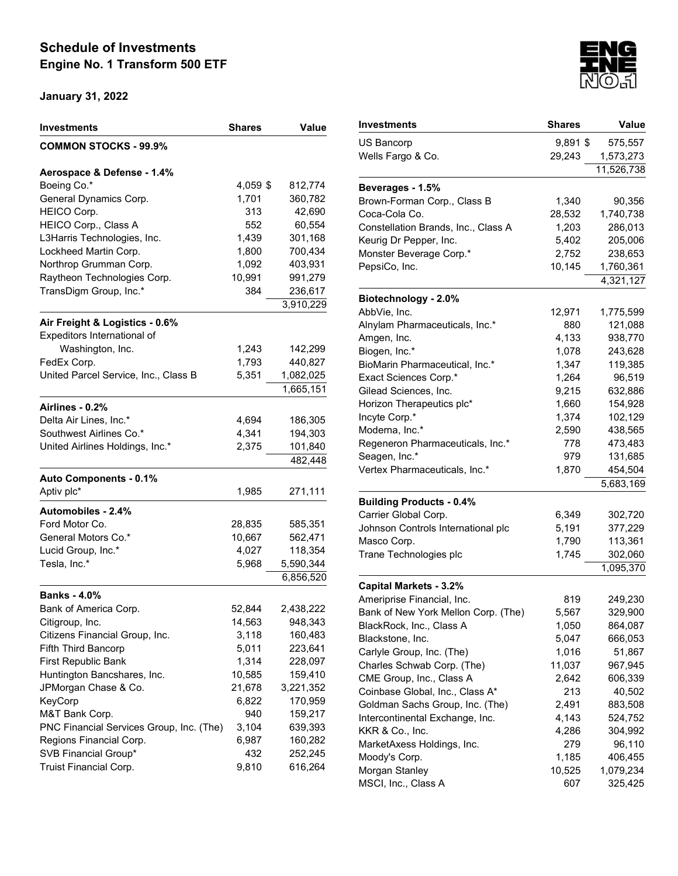| <b>COMMON STOCKS - 99.9%</b><br>Aerospace & Defense - 1.4%<br>Boeing Co.*<br>4,059 \$<br>812,774<br>1,701<br>General Dynamics Corp.<br>360,782<br>HEICO Corp.<br>313<br>42,690<br>552<br>60,554<br>HEICO Corp., Class A<br>L3Harris Technologies, Inc.<br>1,439<br>301,168<br>Lockheed Martin Corp.<br>1,800<br>700,434<br>Northrop Grumman Corp.<br>1,092<br>403,931<br>Raytheon Technologies Corp.<br>10,991<br>991,279<br>TransDigm Group, Inc.*<br>384<br>236,617<br>3,910,229<br>Air Freight & Logistics - 0.6%<br>Expeditors International of<br>Washington, Inc.<br>1,243<br>142,299<br>1,793<br>FedEx Corp.<br>440,827<br>United Parcel Service, Inc., Class B<br>5,351<br>1,082,025<br>1,665,151<br>Airlines - 0.2%<br>Delta Air Lines, Inc.*<br>4,694<br>186,305<br>Southwest Airlines Co.*<br>4,341<br>194,303<br>United Airlines Holdings, Inc.*<br>2,375<br>101,840<br>482,448<br><b>Auto Components - 0.1%</b><br>Aptiv plc*<br>1,985<br>271,111<br><b>Automobiles - 2.4%</b><br>Ford Motor Co.<br>28,835<br>585,351<br>General Motors Co.*<br>10,667<br>562,471<br>Lucid Group, Inc.*<br>4,027<br>118,354<br>Tesla, Inc.*<br>5,968<br>5,590,344<br>6,856,520<br><b>Banks - 4.0%</b><br>Bank of America Corp.<br>52,844<br>2,438,222<br>Citigroup, Inc.<br>14,563<br>948,343<br>3,118<br>160,483<br>Citizens Financial Group, Inc.<br>223,641<br><b>Fifth Third Bancorp</b><br>5,011<br>First Republic Bank<br>1,314<br>228,097<br>Huntington Bancshares, Inc.<br>10,585<br>159,410<br>JPMorgan Chase & Co.<br>21,678<br>3,221,352<br>KeyCorp<br>170,959<br>6,822<br>M&T Bank Corp.<br>940<br>159,217<br>PNC Financial Services Group, Inc. (The)<br>3,104<br>639,393<br>Regions Financial Corp.<br>6,987<br>160,282<br>SVB Financial Group*<br>432<br>252,245 | Investments            | Shares | Value   |
|------------------------------------------------------------------------------------------------------------------------------------------------------------------------------------------------------------------------------------------------------------------------------------------------------------------------------------------------------------------------------------------------------------------------------------------------------------------------------------------------------------------------------------------------------------------------------------------------------------------------------------------------------------------------------------------------------------------------------------------------------------------------------------------------------------------------------------------------------------------------------------------------------------------------------------------------------------------------------------------------------------------------------------------------------------------------------------------------------------------------------------------------------------------------------------------------------------------------------------------------------------------------------------------------------------------------------------------------------------------------------------------------------------------------------------------------------------------------------------------------------------------------------------------------------------------------------------------------------------------------------------------------------------------------------------------------------------------------------------------------------------------------------|------------------------|--------|---------|
|                                                                                                                                                                                                                                                                                                                                                                                                                                                                                                                                                                                                                                                                                                                                                                                                                                                                                                                                                                                                                                                                                                                                                                                                                                                                                                                                                                                                                                                                                                                                                                                                                                                                                                                                                                              |                        |        |         |
|                                                                                                                                                                                                                                                                                                                                                                                                                                                                                                                                                                                                                                                                                                                                                                                                                                                                                                                                                                                                                                                                                                                                                                                                                                                                                                                                                                                                                                                                                                                                                                                                                                                                                                                                                                              |                        |        |         |
|                                                                                                                                                                                                                                                                                                                                                                                                                                                                                                                                                                                                                                                                                                                                                                                                                                                                                                                                                                                                                                                                                                                                                                                                                                                                                                                                                                                                                                                                                                                                                                                                                                                                                                                                                                              |                        |        |         |
|                                                                                                                                                                                                                                                                                                                                                                                                                                                                                                                                                                                                                                                                                                                                                                                                                                                                                                                                                                                                                                                                                                                                                                                                                                                                                                                                                                                                                                                                                                                                                                                                                                                                                                                                                                              |                        |        |         |
|                                                                                                                                                                                                                                                                                                                                                                                                                                                                                                                                                                                                                                                                                                                                                                                                                                                                                                                                                                                                                                                                                                                                                                                                                                                                                                                                                                                                                                                                                                                                                                                                                                                                                                                                                                              |                        |        |         |
|                                                                                                                                                                                                                                                                                                                                                                                                                                                                                                                                                                                                                                                                                                                                                                                                                                                                                                                                                                                                                                                                                                                                                                                                                                                                                                                                                                                                                                                                                                                                                                                                                                                                                                                                                                              |                        |        |         |
|                                                                                                                                                                                                                                                                                                                                                                                                                                                                                                                                                                                                                                                                                                                                                                                                                                                                                                                                                                                                                                                                                                                                                                                                                                                                                                                                                                                                                                                                                                                                                                                                                                                                                                                                                                              |                        |        |         |
|                                                                                                                                                                                                                                                                                                                                                                                                                                                                                                                                                                                                                                                                                                                                                                                                                                                                                                                                                                                                                                                                                                                                                                                                                                                                                                                                                                                                                                                                                                                                                                                                                                                                                                                                                                              |                        |        |         |
|                                                                                                                                                                                                                                                                                                                                                                                                                                                                                                                                                                                                                                                                                                                                                                                                                                                                                                                                                                                                                                                                                                                                                                                                                                                                                                                                                                                                                                                                                                                                                                                                                                                                                                                                                                              |                        |        |         |
|                                                                                                                                                                                                                                                                                                                                                                                                                                                                                                                                                                                                                                                                                                                                                                                                                                                                                                                                                                                                                                                                                                                                                                                                                                                                                                                                                                                                                                                                                                                                                                                                                                                                                                                                                                              |                        |        |         |
|                                                                                                                                                                                                                                                                                                                                                                                                                                                                                                                                                                                                                                                                                                                                                                                                                                                                                                                                                                                                                                                                                                                                                                                                                                                                                                                                                                                                                                                                                                                                                                                                                                                                                                                                                                              |                        |        |         |
|                                                                                                                                                                                                                                                                                                                                                                                                                                                                                                                                                                                                                                                                                                                                                                                                                                                                                                                                                                                                                                                                                                                                                                                                                                                                                                                                                                                                                                                                                                                                                                                                                                                                                                                                                                              |                        |        |         |
|                                                                                                                                                                                                                                                                                                                                                                                                                                                                                                                                                                                                                                                                                                                                                                                                                                                                                                                                                                                                                                                                                                                                                                                                                                                                                                                                                                                                                                                                                                                                                                                                                                                                                                                                                                              |                        |        |         |
|                                                                                                                                                                                                                                                                                                                                                                                                                                                                                                                                                                                                                                                                                                                                                                                                                                                                                                                                                                                                                                                                                                                                                                                                                                                                                                                                                                                                                                                                                                                                                                                                                                                                                                                                                                              |                        |        |         |
|                                                                                                                                                                                                                                                                                                                                                                                                                                                                                                                                                                                                                                                                                                                                                                                                                                                                                                                                                                                                                                                                                                                                                                                                                                                                                                                                                                                                                                                                                                                                                                                                                                                                                                                                                                              |                        |        |         |
|                                                                                                                                                                                                                                                                                                                                                                                                                                                                                                                                                                                                                                                                                                                                                                                                                                                                                                                                                                                                                                                                                                                                                                                                                                                                                                                                                                                                                                                                                                                                                                                                                                                                                                                                                                              |                        |        |         |
|                                                                                                                                                                                                                                                                                                                                                                                                                                                                                                                                                                                                                                                                                                                                                                                                                                                                                                                                                                                                                                                                                                                                                                                                                                                                                                                                                                                                                                                                                                                                                                                                                                                                                                                                                                              |                        |        |         |
|                                                                                                                                                                                                                                                                                                                                                                                                                                                                                                                                                                                                                                                                                                                                                                                                                                                                                                                                                                                                                                                                                                                                                                                                                                                                                                                                                                                                                                                                                                                                                                                                                                                                                                                                                                              |                        |        |         |
|                                                                                                                                                                                                                                                                                                                                                                                                                                                                                                                                                                                                                                                                                                                                                                                                                                                                                                                                                                                                                                                                                                                                                                                                                                                                                                                                                                                                                                                                                                                                                                                                                                                                                                                                                                              |                        |        |         |
|                                                                                                                                                                                                                                                                                                                                                                                                                                                                                                                                                                                                                                                                                                                                                                                                                                                                                                                                                                                                                                                                                                                                                                                                                                                                                                                                                                                                                                                                                                                                                                                                                                                                                                                                                                              |                        |        |         |
|                                                                                                                                                                                                                                                                                                                                                                                                                                                                                                                                                                                                                                                                                                                                                                                                                                                                                                                                                                                                                                                                                                                                                                                                                                                                                                                                                                                                                                                                                                                                                                                                                                                                                                                                                                              |                        |        |         |
|                                                                                                                                                                                                                                                                                                                                                                                                                                                                                                                                                                                                                                                                                                                                                                                                                                                                                                                                                                                                                                                                                                                                                                                                                                                                                                                                                                                                                                                                                                                                                                                                                                                                                                                                                                              |                        |        |         |
|                                                                                                                                                                                                                                                                                                                                                                                                                                                                                                                                                                                                                                                                                                                                                                                                                                                                                                                                                                                                                                                                                                                                                                                                                                                                                                                                                                                                                                                                                                                                                                                                                                                                                                                                                                              |                        |        |         |
|                                                                                                                                                                                                                                                                                                                                                                                                                                                                                                                                                                                                                                                                                                                                                                                                                                                                                                                                                                                                                                                                                                                                                                                                                                                                                                                                                                                                                                                                                                                                                                                                                                                                                                                                                                              |                        |        |         |
|                                                                                                                                                                                                                                                                                                                                                                                                                                                                                                                                                                                                                                                                                                                                                                                                                                                                                                                                                                                                                                                                                                                                                                                                                                                                                                                                                                                                                                                                                                                                                                                                                                                                                                                                                                              |                        |        |         |
|                                                                                                                                                                                                                                                                                                                                                                                                                                                                                                                                                                                                                                                                                                                                                                                                                                                                                                                                                                                                                                                                                                                                                                                                                                                                                                                                                                                                                                                                                                                                                                                                                                                                                                                                                                              |                        |        |         |
|                                                                                                                                                                                                                                                                                                                                                                                                                                                                                                                                                                                                                                                                                                                                                                                                                                                                                                                                                                                                                                                                                                                                                                                                                                                                                                                                                                                                                                                                                                                                                                                                                                                                                                                                                                              |                        |        |         |
|                                                                                                                                                                                                                                                                                                                                                                                                                                                                                                                                                                                                                                                                                                                                                                                                                                                                                                                                                                                                                                                                                                                                                                                                                                                                                                                                                                                                                                                                                                                                                                                                                                                                                                                                                                              |                        |        |         |
|                                                                                                                                                                                                                                                                                                                                                                                                                                                                                                                                                                                                                                                                                                                                                                                                                                                                                                                                                                                                                                                                                                                                                                                                                                                                                                                                                                                                                                                                                                                                                                                                                                                                                                                                                                              |                        |        |         |
|                                                                                                                                                                                                                                                                                                                                                                                                                                                                                                                                                                                                                                                                                                                                                                                                                                                                                                                                                                                                                                                                                                                                                                                                                                                                                                                                                                                                                                                                                                                                                                                                                                                                                                                                                                              |                        |        |         |
|                                                                                                                                                                                                                                                                                                                                                                                                                                                                                                                                                                                                                                                                                                                                                                                                                                                                                                                                                                                                                                                                                                                                                                                                                                                                                                                                                                                                                                                                                                                                                                                                                                                                                                                                                                              |                        |        |         |
|                                                                                                                                                                                                                                                                                                                                                                                                                                                                                                                                                                                                                                                                                                                                                                                                                                                                                                                                                                                                                                                                                                                                                                                                                                                                                                                                                                                                                                                                                                                                                                                                                                                                                                                                                                              |                        |        |         |
|                                                                                                                                                                                                                                                                                                                                                                                                                                                                                                                                                                                                                                                                                                                                                                                                                                                                                                                                                                                                                                                                                                                                                                                                                                                                                                                                                                                                                                                                                                                                                                                                                                                                                                                                                                              |                        |        |         |
|                                                                                                                                                                                                                                                                                                                                                                                                                                                                                                                                                                                                                                                                                                                                                                                                                                                                                                                                                                                                                                                                                                                                                                                                                                                                                                                                                                                                                                                                                                                                                                                                                                                                                                                                                                              |                        |        |         |
|                                                                                                                                                                                                                                                                                                                                                                                                                                                                                                                                                                                                                                                                                                                                                                                                                                                                                                                                                                                                                                                                                                                                                                                                                                                                                                                                                                                                                                                                                                                                                                                                                                                                                                                                                                              |                        |        |         |
|                                                                                                                                                                                                                                                                                                                                                                                                                                                                                                                                                                                                                                                                                                                                                                                                                                                                                                                                                                                                                                                                                                                                                                                                                                                                                                                                                                                                                                                                                                                                                                                                                                                                                                                                                                              |                        |        |         |
|                                                                                                                                                                                                                                                                                                                                                                                                                                                                                                                                                                                                                                                                                                                                                                                                                                                                                                                                                                                                                                                                                                                                                                                                                                                                                                                                                                                                                                                                                                                                                                                                                                                                                                                                                                              |                        |        |         |
|                                                                                                                                                                                                                                                                                                                                                                                                                                                                                                                                                                                                                                                                                                                                                                                                                                                                                                                                                                                                                                                                                                                                                                                                                                                                                                                                                                                                                                                                                                                                                                                                                                                                                                                                                                              |                        |        |         |
|                                                                                                                                                                                                                                                                                                                                                                                                                                                                                                                                                                                                                                                                                                                                                                                                                                                                                                                                                                                                                                                                                                                                                                                                                                                                                                                                                                                                                                                                                                                                                                                                                                                                                                                                                                              |                        |        |         |
|                                                                                                                                                                                                                                                                                                                                                                                                                                                                                                                                                                                                                                                                                                                                                                                                                                                                                                                                                                                                                                                                                                                                                                                                                                                                                                                                                                                                                                                                                                                                                                                                                                                                                                                                                                              |                        |        |         |
|                                                                                                                                                                                                                                                                                                                                                                                                                                                                                                                                                                                                                                                                                                                                                                                                                                                                                                                                                                                                                                                                                                                                                                                                                                                                                                                                                                                                                                                                                                                                                                                                                                                                                                                                                                              |                        |        |         |
|                                                                                                                                                                                                                                                                                                                                                                                                                                                                                                                                                                                                                                                                                                                                                                                                                                                                                                                                                                                                                                                                                                                                                                                                                                                                                                                                                                                                                                                                                                                                                                                                                                                                                                                                                                              |                        |        |         |
|                                                                                                                                                                                                                                                                                                                                                                                                                                                                                                                                                                                                                                                                                                                                                                                                                                                                                                                                                                                                                                                                                                                                                                                                                                                                                                                                                                                                                                                                                                                                                                                                                                                                                                                                                                              |                        |        |         |
|                                                                                                                                                                                                                                                                                                                                                                                                                                                                                                                                                                                                                                                                                                                                                                                                                                                                                                                                                                                                                                                                                                                                                                                                                                                                                                                                                                                                                                                                                                                                                                                                                                                                                                                                                                              |                        |        |         |
|                                                                                                                                                                                                                                                                                                                                                                                                                                                                                                                                                                                                                                                                                                                                                                                                                                                                                                                                                                                                                                                                                                                                                                                                                                                                                                                                                                                                                                                                                                                                                                                                                                                                                                                                                                              | Truist Financial Corp. | 9,810  | 616,264 |



|                                               | <b>Shares</b> | <b>Value</b>      |
|-----------------------------------------------|---------------|-------------------|
| US Bancorp                                    | 9,891 \$      | 575,557           |
| Wells Fargo & Co.                             | 29,243        | 1,573,273         |
|                                               |               | 11,526,738        |
| Beverages - 1.5%                              |               |                   |
| Brown-Forman Corp., Class B                   | 1,340         | 90,356            |
| Coca-Cola Co.                                 | 28,532        | 1,740,738         |
| Constellation Brands, Inc., Class A           | 1,203         | 286,013           |
| Keurig Dr Pepper, Inc.                        | 5,402         | 205,006           |
| Monster Beverage Corp.*                       | 2,752         | 238,653           |
| PepsiCo, Inc.                                 | 10,145        | 1,760,361         |
|                                               |               | 4,321,127         |
| Biotechnology - 2.0%                          |               |                   |
| AbbVie, Inc.                                  | 12,971        | 1,775,599         |
| Alnylam Pharmaceuticals, Inc.*                | 880           | 121,088           |
| Amgen, Inc.                                   | 4,133         | 938,770           |
| Biogen, Inc.*                                 | 1,078         | 243,628           |
| BioMarin Pharmaceutical, Inc.*                | 1,347         | 119,385           |
| Exact Sciences Corp.*                         | 1,264         | 96,519            |
| Gilead Sciences, Inc.                         | 9,215         | 632,886           |
| Horizon Therapeutics plc*                     | 1,660         | 154,928           |
| Incyte Corp.*                                 | 1,374         | 102,129           |
| Moderna, Inc.*                                | 2,590         | 438,565           |
| Regeneron Pharmaceuticals, Inc.*              | 778           | 473,483           |
| Seagen, Inc.*                                 | 979           | 131,685           |
| Vertex Pharmaceuticals, Inc.*                 | 1,870         | 454,504           |
|                                               |               | 5,683,169         |
| <b>Building Products - 0.4%</b>               |               |                   |
| Carrier Global Corp.                          | 6,349         | 302,720           |
| Johnson Controls International plc            | 5,191         | 377,229           |
| Masco Corp.                                   | 1,790         | 113,361           |
| Trane Technologies plc                        | 1,745         | 302,060           |
|                                               |               | 1,095,370         |
| <b>Capital Markets - 3.2%</b>                 |               |                   |
| Ameriprise Financial, Inc.                    | 819           | 249,230           |
| Bank of New York Mellon Corp. (The)           | 5,567         | 329,900           |
| BlackRock, Inc., Class A                      | 1,050         | 864,087           |
| Blackstone, Inc.                              | 5,047         | 666,053           |
| Carlyle Group, Inc. (The)                     | 1,016         | 51,867            |
| Charles Schwab Corp. (The)                    | 11,037        | 967,945           |
| CME Group, Inc., Class A                      | 2,642         | 606,339           |
| Coinbase Global, Inc., Class A*               | 213           | 40,502            |
| Goldman Sachs Group, Inc. (The)               | 2,491         | 883,508           |
| Intercontinental Exchange, Inc.               | 4,143         | 524,752           |
| KKR & Co., Inc.<br>MarketAxess Holdings, Inc. | 4,286         | 304,992<br>96,110 |
| Moody's Corp.                                 | 279<br>1,185  | 406,455           |
| Morgan Stanley                                | 10,525        | 1,079,234         |
| MSCI, Inc., Class A                           | 607           | 325,425           |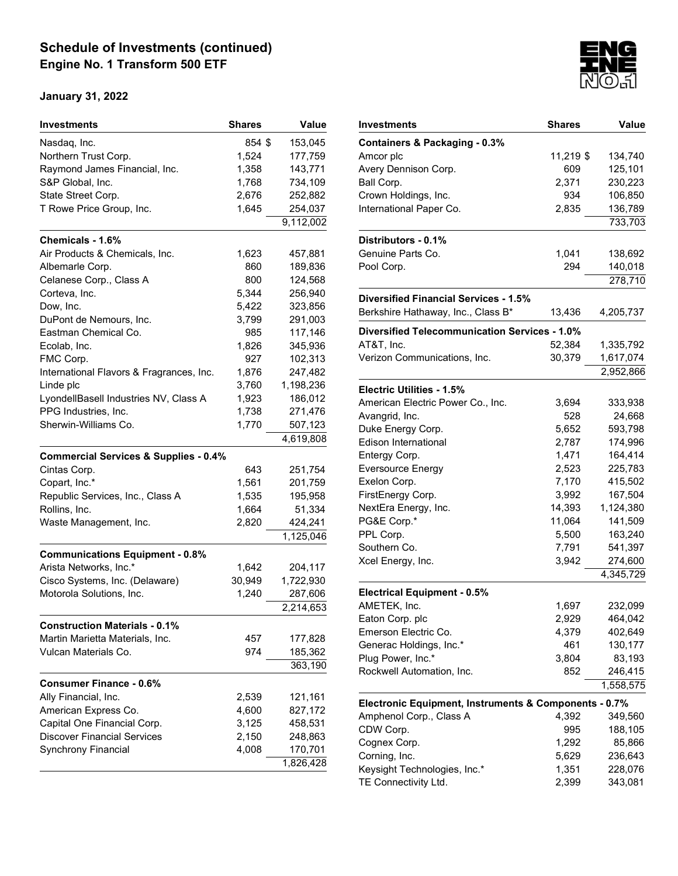| <b>Investments</b>                               | <b>Shares</b> | Value     |
|--------------------------------------------------|---------------|-----------|
| Nasdaq, Inc.                                     | 854 \$        | 153,045   |
| Northern Trust Corp.                             | 1,524         | 177,759   |
| Raymond James Financial, Inc.                    | 1,358         | 143,771   |
| S&P Global, Inc.                                 | 1,768         | 734,109   |
| State Street Corp.                               | 2,676         | 252,882   |
| T Rowe Price Group, Inc.                         | 1,645         | 254,037   |
|                                                  |               | 9,112,002 |
| Chemicals - 1.6%                                 |               |           |
| Air Products & Chemicals, Inc.                   | 1,623         | 457,881   |
| Albemarle Corp.                                  | 860           | 189,836   |
| Celanese Corp., Class A                          | 800           | 124,568   |
| Corteva, Inc.                                    | 5,344         | 256,940   |
| Dow, Inc.                                        | 5,422         | 323,856   |
| DuPont de Nemours, Inc.                          | 3,799         | 291,003   |
| Eastman Chemical Co.                             | 985           | 117,146   |
| Ecolab, Inc.                                     | 1,826         | 345,936   |
| FMC Corp.                                        | 927           | 102,313   |
| International Flavors & Fragrances, Inc.         | 1,876         | 247,482   |
| Linde plc                                        | 3,760         | 1,198,236 |
| LyondellBasell Industries NV, Class A            | 1,923         | 186,012   |
| PPG Industries, Inc.                             | 1,738         | 271,476   |
| Sherwin-Williams Co.                             | 1,770         | 507,123   |
|                                                  |               | 4,619,808 |
| <b>Commercial Services &amp; Supplies - 0.4%</b> |               |           |
| Cintas Corp.                                     | 643           | 251,754   |
| Copart, Inc.*                                    | 1,561         | 201,759   |
| Republic Services, Inc., Class A                 | 1,535         | 195,958   |
| Rollins, Inc.                                    | 1,664         | 51,334    |
| Waste Management, Inc.                           | 2,820         | 424,241   |
|                                                  |               | 1,125,046 |
| <b>Communications Equipment - 0.8%</b>           |               |           |
| Arista Networks, Inc.*                           | 1,642         | 204,117   |
| Cisco Systems, Inc. (Delaware)                   | 30,949        | 1,722,930 |
| Motorola Solutions, Inc.                         | 1,240         | 287,606   |
|                                                  |               | 2,214,653 |
| <b>Construction Materials - 0.1%</b>             |               |           |
| Martin Marietta Materials, Inc.                  | 457           | 177,828   |
| Vulcan Materials Co.                             | 974           | 185,362   |
|                                                  |               | 363,190   |
| <b>Consumer Finance - 0.6%</b>                   |               |           |
| Ally Financial, Inc.                             | 2,539         | 121,161   |
| American Express Co.                             | 4,600         | 827,172   |
| Capital One Financial Corp.                      | 3,125         | 458,531   |
| <b>Discover Financial Services</b>               | 2,150         | 248,863   |
| Synchrony Financial                              | 4,008         | 170,701   |
|                                                  |               | 1,826,428 |
|                                                  |               |           |



| Investments                                           | <b>Shares</b> | Value     |
|-------------------------------------------------------|---------------|-----------|
| Containers & Packaging - 0.3%                         |               |           |
| Amcor plc                                             | 11,219 \$     | 134,740   |
| Avery Dennison Corp.                                  | 609           | 125,101   |
| Ball Corp.                                            | 2,371         | 230,223   |
| Crown Holdings, Inc.                                  | 934           | 106,850   |
| International Paper Co.                               | 2,835         | 136,789   |
|                                                       |               | 733,703   |
| Distributors - 0.1%                                   |               |           |
| Genuine Parts Co.                                     | 1,041         | 138,692   |
| Pool Corp.                                            | 294           | 140,018   |
|                                                       |               | 278,710   |
| <b>Diversified Financial Services - 1.5%</b>          |               |           |
| Berkshire Hathaway, Inc., Class B*                    | 13,436        | 4,205,737 |
| Diversified Telecommunication Services - 1.0%         |               |           |
| AT&T, Inc.                                            | 52,384        | 1,335,792 |
| Verizon Communications, Inc.                          | 30,379        | 1,617,074 |
|                                                       |               | 2,952,866 |
| Electric Utilities - 1.5%                             |               |           |
| American Electric Power Co., Inc.                     | 3,694         | 333,938   |
| Avangrid, Inc.                                        | 528           | 24,668    |
| Duke Energy Corp.                                     | 5,652         | 593,798   |
| <b>Edison International</b>                           | 2,787         | 174,996   |
| Entergy Corp.                                         | 1,471         | 164,414   |
| Eversource Energy                                     | 2,523         | 225,783   |
| Exelon Corp.                                          | 7,170         | 415,502   |
| FirstEnergy Corp.                                     | 3,992         | 167,504   |
| NextEra Energy, Inc.                                  | 14,393        | 1,124,380 |
| PG&E Corp.*                                           | 11,064        | 141,509   |
| PPL Corp.                                             | 5,500         | 163,240   |
| Southern Co.                                          | 7,791         | 541,397   |
| Xcel Energy, Inc.                                     | 3,942         | 274,600   |
|                                                       |               | 4,345,729 |
| <b>Electrical Equipment - 0.5%</b>                    |               |           |
| AMETEK, Inc.                                          | 1,697         | 232,099   |
| Eaton Corp. plc                                       | 2,929         | 464,042   |
| Emerson Electric Co.                                  | 4,379         | 402,649   |
| Generac Holdings, Inc.*                               | 461           | 130,177   |
| Plug Power, Inc.*                                     | 3,804         | 83,193    |
| Rockwell Automation, Inc.                             | 852           | 246,415   |
|                                                       |               | 1,558,575 |
| Electronic Equipment, Instruments & Components - 0.7% |               |           |
| Amphenol Corp., Class A                               | 4,392         | 349,560   |
| CDW Corp.                                             | 995           | 188,105   |
| Cognex Corp.                                          | 1,292         | 85,866    |
| Corning, Inc.                                         | 5,629         | 236,643   |
| Keysight Technologies, Inc.*                          | 1,351         | 228,076   |
|                                                       |               |           |
| TE Connectivity Ltd.                                  | 2,399         | 343,081   |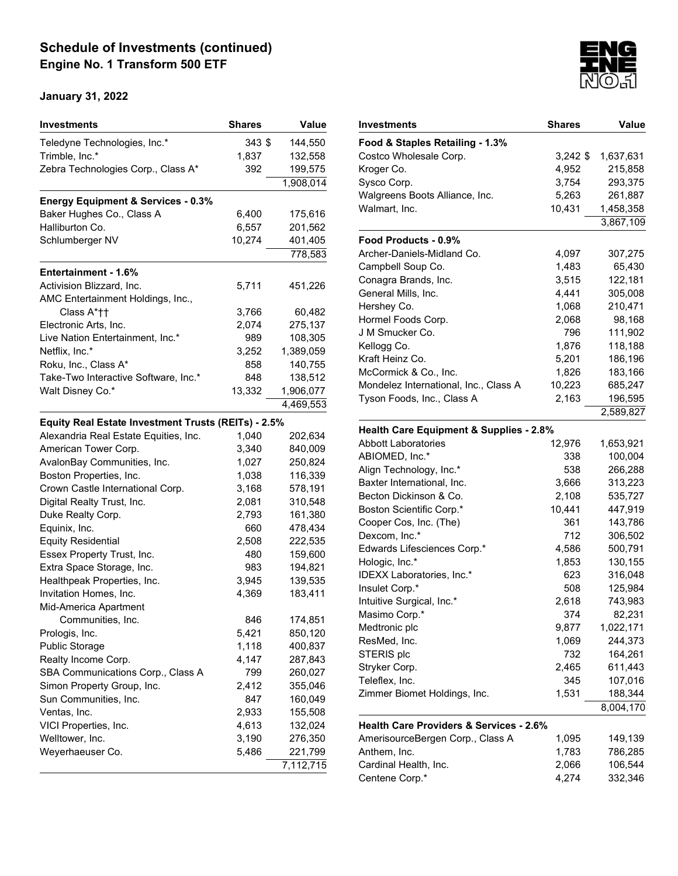| Teledyne Technologies, Inc.*<br>$343$ \$<br>144,550<br>Trimble, Inc.*<br>132,558<br>1,837<br>199,575<br>Zebra Technologies Corp., Class A*<br>392<br>1,908,014<br><b>Energy Equipment &amp; Services - 0.3%</b><br>Baker Hughes Co., Class A<br>6,400<br>175,616<br>Halliburton Co.<br>6,557<br>201,562<br>10,274<br>401,405<br>Schlumberger NV<br>778,583<br>Entertainment - 1.6%<br>Activision Blizzard, Inc.<br>5,711<br>451,226<br>AMC Entertainment Holdings, Inc.,<br>Class A*††<br>3,766<br>60,482<br>Electronic Arts, Inc.<br>2,074<br>275,137<br>Live Nation Entertainment, Inc.*<br>989<br>108,305<br>Netflix, Inc.*<br>3,252<br>1,389,059<br>Roku, Inc., Class A*<br>858<br>140,755<br>Take-Two Interactive Software, Inc.*<br>848<br>138,512<br>Walt Disney Co.*<br>13,332<br>1,906,077<br>4,469,553<br>Equity Real Estate Investment Trusts (REITs) - 2.5%<br>Alexandria Real Estate Equities, Inc.<br>1,040<br>202,634 |
|--------------------------------------------------------------------------------------------------------------------------------------------------------------------------------------------------------------------------------------------------------------------------------------------------------------------------------------------------------------------------------------------------------------------------------------------------------------------------------------------------------------------------------------------------------------------------------------------------------------------------------------------------------------------------------------------------------------------------------------------------------------------------------------------------------------------------------------------------------------------------------------------------------------------------------------|
|                                                                                                                                                                                                                                                                                                                                                                                                                                                                                                                                                                                                                                                                                                                                                                                                                                                                                                                                      |
|                                                                                                                                                                                                                                                                                                                                                                                                                                                                                                                                                                                                                                                                                                                                                                                                                                                                                                                                      |
|                                                                                                                                                                                                                                                                                                                                                                                                                                                                                                                                                                                                                                                                                                                                                                                                                                                                                                                                      |
|                                                                                                                                                                                                                                                                                                                                                                                                                                                                                                                                                                                                                                                                                                                                                                                                                                                                                                                                      |
|                                                                                                                                                                                                                                                                                                                                                                                                                                                                                                                                                                                                                                                                                                                                                                                                                                                                                                                                      |
|                                                                                                                                                                                                                                                                                                                                                                                                                                                                                                                                                                                                                                                                                                                                                                                                                                                                                                                                      |
|                                                                                                                                                                                                                                                                                                                                                                                                                                                                                                                                                                                                                                                                                                                                                                                                                                                                                                                                      |
|                                                                                                                                                                                                                                                                                                                                                                                                                                                                                                                                                                                                                                                                                                                                                                                                                                                                                                                                      |
|                                                                                                                                                                                                                                                                                                                                                                                                                                                                                                                                                                                                                                                                                                                                                                                                                                                                                                                                      |
|                                                                                                                                                                                                                                                                                                                                                                                                                                                                                                                                                                                                                                                                                                                                                                                                                                                                                                                                      |
|                                                                                                                                                                                                                                                                                                                                                                                                                                                                                                                                                                                                                                                                                                                                                                                                                                                                                                                                      |
|                                                                                                                                                                                                                                                                                                                                                                                                                                                                                                                                                                                                                                                                                                                                                                                                                                                                                                                                      |
|                                                                                                                                                                                                                                                                                                                                                                                                                                                                                                                                                                                                                                                                                                                                                                                                                                                                                                                                      |
|                                                                                                                                                                                                                                                                                                                                                                                                                                                                                                                                                                                                                                                                                                                                                                                                                                                                                                                                      |
|                                                                                                                                                                                                                                                                                                                                                                                                                                                                                                                                                                                                                                                                                                                                                                                                                                                                                                                                      |
|                                                                                                                                                                                                                                                                                                                                                                                                                                                                                                                                                                                                                                                                                                                                                                                                                                                                                                                                      |
|                                                                                                                                                                                                                                                                                                                                                                                                                                                                                                                                                                                                                                                                                                                                                                                                                                                                                                                                      |
|                                                                                                                                                                                                                                                                                                                                                                                                                                                                                                                                                                                                                                                                                                                                                                                                                                                                                                                                      |
|                                                                                                                                                                                                                                                                                                                                                                                                                                                                                                                                                                                                                                                                                                                                                                                                                                                                                                                                      |
|                                                                                                                                                                                                                                                                                                                                                                                                                                                                                                                                                                                                                                                                                                                                                                                                                                                                                                                                      |
|                                                                                                                                                                                                                                                                                                                                                                                                                                                                                                                                                                                                                                                                                                                                                                                                                                                                                                                                      |
|                                                                                                                                                                                                                                                                                                                                                                                                                                                                                                                                                                                                                                                                                                                                                                                                                                                                                                                                      |
| American Tower Corp.<br>3,340<br>840,009                                                                                                                                                                                                                                                                                                                                                                                                                                                                                                                                                                                                                                                                                                                                                                                                                                                                                             |
| AvalonBay Communities, Inc.<br>1,027<br>250,824                                                                                                                                                                                                                                                                                                                                                                                                                                                                                                                                                                                                                                                                                                                                                                                                                                                                                      |
| Boston Properties, Inc.<br>116,339<br>1,038                                                                                                                                                                                                                                                                                                                                                                                                                                                                                                                                                                                                                                                                                                                                                                                                                                                                                          |
| Crown Castle International Corp.<br>3,168<br>578,191                                                                                                                                                                                                                                                                                                                                                                                                                                                                                                                                                                                                                                                                                                                                                                                                                                                                                 |
| Digital Realty Trust, Inc.<br>2,081<br>310,548                                                                                                                                                                                                                                                                                                                                                                                                                                                                                                                                                                                                                                                                                                                                                                                                                                                                                       |
| Duke Realty Corp.<br>2,793<br>161,380                                                                                                                                                                                                                                                                                                                                                                                                                                                                                                                                                                                                                                                                                                                                                                                                                                                                                                |
| Equinix, Inc.<br>660<br>478,434                                                                                                                                                                                                                                                                                                                                                                                                                                                                                                                                                                                                                                                                                                                                                                                                                                                                                                      |
| <b>Equity Residential</b><br>2,508<br>222,535                                                                                                                                                                                                                                                                                                                                                                                                                                                                                                                                                                                                                                                                                                                                                                                                                                                                                        |
| Essex Property Trust, Inc.<br>480<br>159,600                                                                                                                                                                                                                                                                                                                                                                                                                                                                                                                                                                                                                                                                                                                                                                                                                                                                                         |
| Extra Space Storage, Inc.<br>194,821<br>983                                                                                                                                                                                                                                                                                                                                                                                                                                                                                                                                                                                                                                                                                                                                                                                                                                                                                          |
| Healthpeak Properties, Inc.<br>3,945<br>139,535                                                                                                                                                                                                                                                                                                                                                                                                                                                                                                                                                                                                                                                                                                                                                                                                                                                                                      |
| 4,369<br>Invitation Homes, Inc.<br>183,411                                                                                                                                                                                                                                                                                                                                                                                                                                                                                                                                                                                                                                                                                                                                                                                                                                                                                           |
| Mid-America Apartment                                                                                                                                                                                                                                                                                                                                                                                                                                                                                                                                                                                                                                                                                                                                                                                                                                                                                                                |
| 174,851<br>Communities, Inc.<br>846                                                                                                                                                                                                                                                                                                                                                                                                                                                                                                                                                                                                                                                                                                                                                                                                                                                                                                  |
| Prologis, Inc.<br>5,421<br>850,120                                                                                                                                                                                                                                                                                                                                                                                                                                                                                                                                                                                                                                                                                                                                                                                                                                                                                                   |
| <b>Public Storage</b><br>1,118<br>400,837                                                                                                                                                                                                                                                                                                                                                                                                                                                                                                                                                                                                                                                                                                                                                                                                                                                                                            |
| Realty Income Corp.<br>4,147<br>287,843                                                                                                                                                                                                                                                                                                                                                                                                                                                                                                                                                                                                                                                                                                                                                                                                                                                                                              |
| SBA Communications Corp., Class A<br>799<br>260,027                                                                                                                                                                                                                                                                                                                                                                                                                                                                                                                                                                                                                                                                                                                                                                                                                                                                                  |
| Simon Property Group, Inc.<br>2,412<br>355,046                                                                                                                                                                                                                                                                                                                                                                                                                                                                                                                                                                                                                                                                                                                                                                                                                                                                                       |
| Sun Communities, Inc.<br>847<br>160,049                                                                                                                                                                                                                                                                                                                                                                                                                                                                                                                                                                                                                                                                                                                                                                                                                                                                                              |
| Ventas, Inc.<br>2,933<br>155,508                                                                                                                                                                                                                                                                                                                                                                                                                                                                                                                                                                                                                                                                                                                                                                                                                                                                                                     |
| 4,613<br>VICI Properties, Inc.<br>132,024                                                                                                                                                                                                                                                                                                                                                                                                                                                                                                                                                                                                                                                                                                                                                                                                                                                                                            |
| Welltower, Inc.<br>3,190<br>276,350                                                                                                                                                                                                                                                                                                                                                                                                                                                                                                                                                                                                                                                                                                                                                                                                                                                                                                  |
| Weyerhaeuser Co.<br>5,486<br>221,799                                                                                                                                                                                                                                                                                                                                                                                                                                                                                                                                                                                                                                                                                                                                                                                                                                                                                                 |
| 7,112,715                                                                                                                                                                                                                                                                                                                                                                                                                                                                                                                                                                                                                                                                                                                                                                                                                                                                                                                            |



| Investments                                        | Shares     | <b>Value</b> |
|----------------------------------------------------|------------|--------------|
| Food & Staples Retailing - 1.3%                    |            |              |
| Costco Wholesale Corp.                             | $3,242$ \$ | 1,637,631    |
| Kroger Co.                                         | 4,952      | 215,858      |
| Sysco Corp.                                        | 3,754      | 293,375      |
| Walgreens Boots Alliance, Inc.                     | 5,263      | 261,887      |
| Walmart, Inc.                                      | 10,431     | 1,458,358    |
|                                                    |            | 3,867,109    |
| Food Products - 0.9%                               |            |              |
| Archer-Daniels-Midland Co.                         | 4,097      | 307,275      |
| Campbell Soup Co.                                  | 1,483      | 65,430       |
| Conagra Brands, Inc.                               | 3,515      | 122,181      |
| General Mills, Inc.                                | 4,441      | 305,008      |
| Hershey Co.                                        | 1,068      | 210,471      |
| Hormel Foods Corp.                                 | 2,068      | 98,168       |
| J M Smucker Co.                                    | 796        | 111,902      |
| Kellogg Co.                                        | 1,876      | 118,188      |
| Kraft Heinz Co.                                    | 5,201      | 186,196      |
| McCormick & Co., Inc.                              | 1,826      | 183,166      |
| Mondelez International, Inc., Class A              | 10,223     | 685,247      |
| Tyson Foods, Inc., Class A                         | 2,163      | 196,595      |
|                                                    |            | 2,589,827    |
| <b>Health Care Equipment &amp; Supplies - 2.8%</b> |            |              |
| <b>Abbott Laboratories</b>                         | 12,976     | 1,653,921    |
| ABIOMED, Inc.*                                     | 338        | 100,004      |
| Align Technology, Inc.*                            | 538        | 266,288      |
| Baxter International, Inc.                         | 3,666      | 313,223      |
| Becton Dickinson & Co.                             | 2,108      | 535,727      |
| <b>Boston Scientific Corp.*</b>                    | 10,441     | 447,919      |
| Cooper Cos, Inc. (The)                             | 361        | 143,786      |
| Dexcom, Inc.*                                      | 712        | 306,502      |
| Edwards Lifesciences Corp.*                        | 4,586      | 500,791      |
| Hologic, Inc.*                                     | 1,853      | 130,155      |
| IDEXX Laboratories, Inc.*                          | 623        | 316,048      |
| Insulet Corp.*                                     | 508        | 125,984      |
| Intuitive Surgical, Inc.*                          | 2,618      | 743,983      |
| Masimo Corp.*                                      | 374        | 82,231       |
| Medtronic plc                                      | 9,877      | 1,022,171    |
| ResMed, Inc.                                       | 1,069      | 244,373      |
| STERIS plc                                         | 732        | 164,261      |
| Stryker Corp.                                      | 2,465      | 611,443      |
| Teleflex, Inc.                                     | 345        | 107,016      |
| Zimmer Biomet Holdings, Inc.                       | 1,531      | 188,344      |
|                                                    |            | 8,004,170    |
| <b>Health Care Providers &amp; Services - 2.6%</b> |            |              |
| AmerisourceBergen Corp., Class A                   | 1,095      | 149,139      |
| Anthem, Inc.                                       | 1,783      | 786,285      |
| Cardinal Health, Inc.                              | 2,066      | 106,544      |
| Centene Corp.*                                     | 4,274      | 332,346      |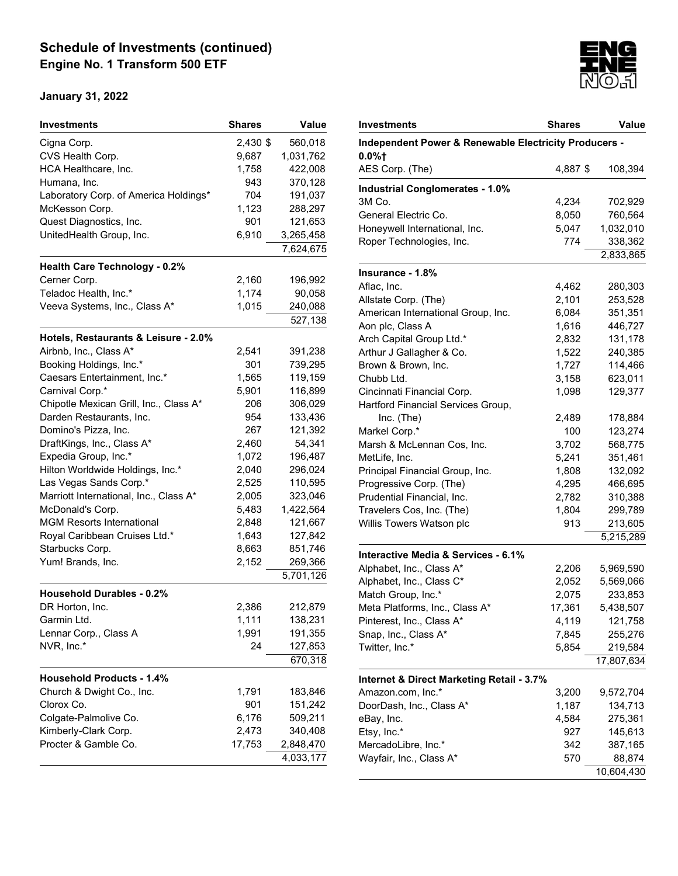| Investments                            | <b>Shares</b> | Value              |
|----------------------------------------|---------------|--------------------|
| Cigna Corp.                            | 2,430 \$      | 560,018            |
| CVS Health Corp.                       | 9,687         | 1,031,762          |
| HCA Healthcare, Inc.                   | 1,758         | 422,008            |
| Humana, Inc.                           | 943           | 370,128            |
| Laboratory Corp. of America Holdings*  | 704           | 191,037            |
| McKesson Corp.                         | 1,123         | 288,297            |
| Quest Diagnostics, Inc.                | 901           | 121,653            |
| UnitedHealth Group, Inc.               | 6,910         | 3,265,458          |
|                                        |               | 7,624,675          |
| <b>Health Care Technology - 0.2%</b>   |               |                    |
| Cerner Corp.                           | 2,160         | 196,992            |
| Teladoc Health, Inc.*                  | 1,174         | 90,058             |
| Veeva Systems, Inc., Class A*          | 1,015         | 240,088            |
|                                        |               | 527,138            |
| Hotels, Restaurants & Leisure - 2.0%   |               |                    |
| Airbnb, Inc., Class A*                 | 2,541         | 391,238            |
| Booking Holdings, Inc.*                | 301           | 739,295            |
| Caesars Entertainment, Inc.*           | 1,565         | 119,159            |
| Carnival Corp.*                        | 5,901         | 116,899            |
| Chipotle Mexican Grill, Inc., Class A* | 206           | 306,029            |
| Darden Restaurants, Inc.               | 954           | 133,436            |
| Domino's Pizza, Inc.                   | 267           | 121,392            |
| DraftKings, Inc., Class A*             | 2,460         | 54,341             |
| Expedia Group, Inc.*                   | 1,072         | 196,487            |
| Hilton Worldwide Holdings, Inc.*       | 2,040         | 296,024            |
| Las Vegas Sands Corp.*                 | 2,525         | 110,595            |
| Marriott International, Inc., Class A* | 2,005         | 323,046            |
| McDonald's Corp.                       | 5,483         | 1,422,564          |
| <b>MGM Resorts International</b>       | 2,848         | 121,667            |
| Royal Caribbean Cruises Ltd.*          | 1,643         | 127,842            |
| Starbucks Corp.                        | 8,663         | 851,746            |
| Yum! Brands, Inc.                      | 2,152         | 269,366            |
|                                        |               | 5,701,126          |
| <b>Household Durables - 0.2%</b>       |               |                    |
| DR Horton, Inc.                        | 2,386         | 212,879            |
|                                        | 1,111         |                    |
| Garmin Ltd.                            |               | 138,231            |
| Lennar Corp., Class A                  | 1,991         | 191,355            |
| NVR, Inc.*                             | 24            | 127,853<br>670,318 |
| <b>Household Products - 1.4%</b>       |               |                    |
|                                        |               |                    |
| Church & Dwight Co., Inc.              | 1,791         | 183,846            |
| Clorox Co.                             | 901           | 151,242            |
| Colgate-Palmolive Co.                  | 6,176         | 509,211            |
| Kimberly-Clark Corp.                   | 2,473         | 340,408            |
| Procter & Gamble Co.                   | 17,753        | 2,848,470          |
|                                        |               | 4,033,177          |



| Investments                                                    | <b>Shares</b> | Value      |
|----------------------------------------------------------------|---------------|------------|
| Independent Power & Renewable Electricity Producers -<br>0.0%† |               |            |
| AES Corp. (The)                                                | 4,887 \$      | 108,394    |
| <b>Industrial Conglomerates - 1.0%</b>                         |               |            |
| 3M Co.                                                         | 4,234         | 702,929    |
| General Electric Co.                                           | 8,050         | 760,564    |
| Honeywell International, Inc.                                  | 5,047         | 1,032,010  |
| Roper Technologies, Inc.                                       | 774           | 338,362    |
|                                                                |               | 2,833,865  |
| Insurance - 1.8%                                               |               |            |
| Aflac, Inc.                                                    | 4,462         | 280,303    |
| Allstate Corp. (The)                                           | 2,101         | 253,528    |
| American International Group, Inc.                             | 6,084         | 351,351    |
| Aon plc, Class A                                               | 1,616         | 446,727    |
| Arch Capital Group Ltd.*                                       | 2,832         | 131,178    |
| Arthur J Gallagher & Co.                                       | 1,522         | 240,385    |
| Brown & Brown, Inc.                                            | 1,727         | 114,466    |
| Chubb Ltd.                                                     | 3,158         | 623,011    |
| Cincinnati Financial Corp.                                     | 1,098         | 129,377    |
| Hartford Financial Services Group,                             |               |            |
| Inc. (The)                                                     | 2,489         | 178,884    |
| Markel Corp.*                                                  | 100           | 123,274    |
| Marsh & McLennan Cos, Inc.                                     | 3,702         | 568,775    |
| MetLife, Inc.                                                  | 5,241         | 351,461    |
| Principal Financial Group, Inc.                                | 1,808         | 132,092    |
| Progressive Corp. (The)                                        | 4,295         | 466,695    |
| Prudential Financial, Inc.                                     | 2,782         | 310,388    |
| Travelers Cos, Inc. (The)                                      | 1,804         | 299,789    |
| Willis Towers Watson plc                                       | 913           | 213,605    |
|                                                                |               | 5,215,289  |
| Interactive Media & Services - 6.1%                            |               |            |
| Alphabet, Inc., Class A*                                       | 2,206         | 5,969,590  |
| Alphabet, Inc., Class C*                                       | 2,052         | 5,569,066  |
| Match Group, Inc.*                                             | 2,075         | 233,853    |
| Meta Platforms, Inc., Class A*                                 | 17,361        | 5,438,507  |
| Pinterest, Inc., Class A*                                      | 4,119         | 121,758    |
| Snap, Inc., Class A*                                           | 7,845         | 255,276    |
| Twitter, Inc.*                                                 | 5,854         | 219,584    |
|                                                                |               | 17,807,634 |
|                                                                |               |            |
| Internet & Direct Marketing Retail - 3.7%<br>Amazon.com, Inc.* | 3,200         | 9,572,704  |
| DoorDash, Inc., Class A*                                       | 1,187         | 134,713    |
|                                                                | 4,584         |            |
| eBay, Inc.                                                     |               | 275,361    |
| Etsy, Inc.*                                                    | 927           | 145,613    |
| MercadoLibre, Inc.*                                            | 342           | 387,165    |
| Wayfair, Inc., Class A*                                        | 570           | 88,874     |
|                                                                |               | 10,604,430 |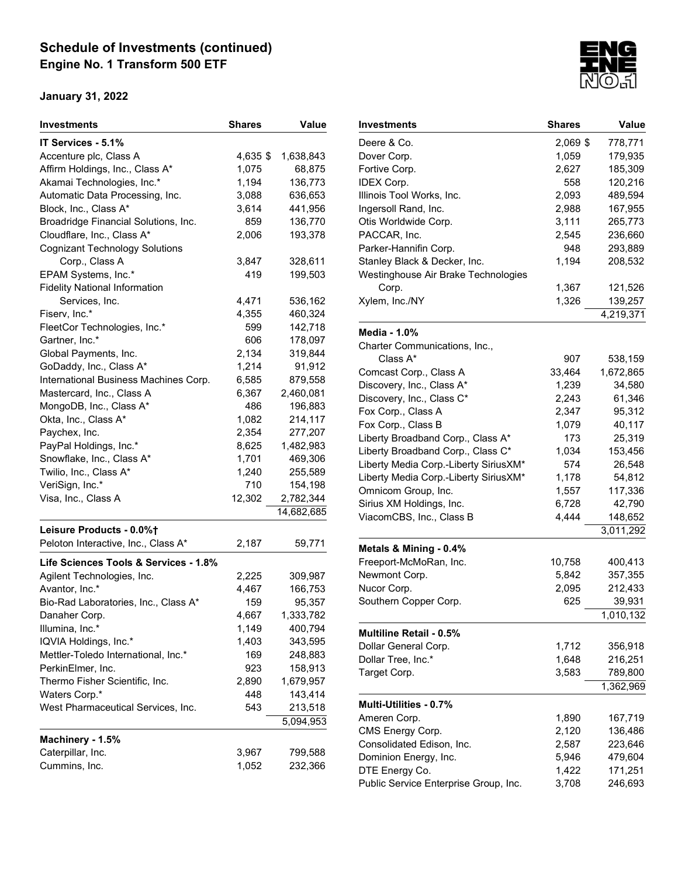| IT Services - 5.1%<br>Accenture plc, Class A<br>4,635 \$<br>1,638,843<br>Affirm Holdings, Inc., Class A*<br>1,075<br>68,875<br>Akamai Technologies, Inc.*<br>1,194<br>136,773<br>Automatic Data Processing, Inc.<br>3,088<br>636,653<br>Block, Inc., Class A*<br>3,614<br>441,956<br>Broadridge Financial Solutions, Inc.<br>859<br>136,770<br>Cloudflare, Inc., Class A*<br>2,006<br>193,378<br><b>Cognizant Technology Solutions</b><br>Corp., Class A<br>3,847<br>328,611<br>EPAM Systems, Inc.*<br>419<br>199,503<br><b>Fidelity National Information</b><br>Services, Inc.<br>4,471<br>536,162<br>460,324<br>Fiserv, Inc.*<br>4,355<br>FleetCor Technologies, Inc.*<br>599<br>142,718<br>Gartner, Inc.*<br>606<br>178,097<br>2,134<br>Global Payments, Inc.<br>319,844<br>1,214<br>GoDaddy, Inc., Class A*<br>91,912<br>International Business Machines Corp.<br>6,585<br>879,558<br>Mastercard, Inc., Class A<br>6,367<br>2,460,081<br>MongoDB, Inc., Class A*<br>486<br>196,883<br>214,117<br>Okta, Inc., Class A*<br>1,082<br>2,354<br>277,207<br>Paychex, Inc.<br>PayPal Holdings, Inc.*<br>8,625<br>1,482,983<br>1,701<br>Snowflake, Inc., Class A*<br>469,306<br>Twilio, Inc., Class A*<br>1,240<br>255,589<br>710<br>VeriSign, Inc.*<br>154,198<br>Visa, Inc., Class A<br>12,302<br>2,782,344<br>14,682,685<br>Leisure Products - 0.0%+<br>Peloton Interactive, Inc., Class A*<br>2,187<br>59,771<br>Life Sciences Tools & Services - 1.8%<br>Agilent Technologies, Inc.<br>2,225<br>309,987<br>Avantor, Inc.*<br>4,467<br>166,753<br>159<br>Bio-Rad Laboratories, Inc., Class A*<br>95,357<br>4,667<br>1,333,782<br>Danaher Corp.<br>Illumina, Inc.*<br>1,149<br>400,794<br>IQVIA Holdings, Inc.*<br>1,403<br>343,595<br>Mettler-Toledo International, Inc.*<br>169<br>248,883<br>PerkinElmer, Inc.<br>923<br>158,913<br>Thermo Fisher Scientific, Inc.<br>2,890<br>1,679,957<br>448<br>Waters Corp.*<br>143,414<br>West Pharmaceutical Services, Inc.<br>543<br>213,518<br>5,094,953<br>Machinery - 1.5%<br>Caterpillar, Inc.<br>3,967<br>799,588<br>Cummins, Inc.<br>1,052<br>232,366 | <b>Investments</b> | <b>Shares</b> | Value |
|------------------------------------------------------------------------------------------------------------------------------------------------------------------------------------------------------------------------------------------------------------------------------------------------------------------------------------------------------------------------------------------------------------------------------------------------------------------------------------------------------------------------------------------------------------------------------------------------------------------------------------------------------------------------------------------------------------------------------------------------------------------------------------------------------------------------------------------------------------------------------------------------------------------------------------------------------------------------------------------------------------------------------------------------------------------------------------------------------------------------------------------------------------------------------------------------------------------------------------------------------------------------------------------------------------------------------------------------------------------------------------------------------------------------------------------------------------------------------------------------------------------------------------------------------------------------------------------------------------------------------------------------------------------------------------------------------------------------------------------------------------------------------------------------------------------------------------------------------------------------------------------------------------------------------------------------------------------------------------------------------------------------------------------------------------------------------------------------------|--------------------|---------------|-------|
|                                                                                                                                                                                                                                                                                                                                                                                                                                                                                                                                                                                                                                                                                                                                                                                                                                                                                                                                                                                                                                                                                                                                                                                                                                                                                                                                                                                                                                                                                                                                                                                                                                                                                                                                                                                                                                                                                                                                                                                                                                                                                                      |                    |               |       |
|                                                                                                                                                                                                                                                                                                                                                                                                                                                                                                                                                                                                                                                                                                                                                                                                                                                                                                                                                                                                                                                                                                                                                                                                                                                                                                                                                                                                                                                                                                                                                                                                                                                                                                                                                                                                                                                                                                                                                                                                                                                                                                      |                    |               |       |
|                                                                                                                                                                                                                                                                                                                                                                                                                                                                                                                                                                                                                                                                                                                                                                                                                                                                                                                                                                                                                                                                                                                                                                                                                                                                                                                                                                                                                                                                                                                                                                                                                                                                                                                                                                                                                                                                                                                                                                                                                                                                                                      |                    |               |       |
|                                                                                                                                                                                                                                                                                                                                                                                                                                                                                                                                                                                                                                                                                                                                                                                                                                                                                                                                                                                                                                                                                                                                                                                                                                                                                                                                                                                                                                                                                                                                                                                                                                                                                                                                                                                                                                                                                                                                                                                                                                                                                                      |                    |               |       |
|                                                                                                                                                                                                                                                                                                                                                                                                                                                                                                                                                                                                                                                                                                                                                                                                                                                                                                                                                                                                                                                                                                                                                                                                                                                                                                                                                                                                                                                                                                                                                                                                                                                                                                                                                                                                                                                                                                                                                                                                                                                                                                      |                    |               |       |
|                                                                                                                                                                                                                                                                                                                                                                                                                                                                                                                                                                                                                                                                                                                                                                                                                                                                                                                                                                                                                                                                                                                                                                                                                                                                                                                                                                                                                                                                                                                                                                                                                                                                                                                                                                                                                                                                                                                                                                                                                                                                                                      |                    |               |       |
|                                                                                                                                                                                                                                                                                                                                                                                                                                                                                                                                                                                                                                                                                                                                                                                                                                                                                                                                                                                                                                                                                                                                                                                                                                                                                                                                                                                                                                                                                                                                                                                                                                                                                                                                                                                                                                                                                                                                                                                                                                                                                                      |                    |               |       |
|                                                                                                                                                                                                                                                                                                                                                                                                                                                                                                                                                                                                                                                                                                                                                                                                                                                                                                                                                                                                                                                                                                                                                                                                                                                                                                                                                                                                                                                                                                                                                                                                                                                                                                                                                                                                                                                                                                                                                                                                                                                                                                      |                    |               |       |
|                                                                                                                                                                                                                                                                                                                                                                                                                                                                                                                                                                                                                                                                                                                                                                                                                                                                                                                                                                                                                                                                                                                                                                                                                                                                                                                                                                                                                                                                                                                                                                                                                                                                                                                                                                                                                                                                                                                                                                                                                                                                                                      |                    |               |       |
|                                                                                                                                                                                                                                                                                                                                                                                                                                                                                                                                                                                                                                                                                                                                                                                                                                                                                                                                                                                                                                                                                                                                                                                                                                                                                                                                                                                                                                                                                                                                                                                                                                                                                                                                                                                                                                                                                                                                                                                                                                                                                                      |                    |               |       |
|                                                                                                                                                                                                                                                                                                                                                                                                                                                                                                                                                                                                                                                                                                                                                                                                                                                                                                                                                                                                                                                                                                                                                                                                                                                                                                                                                                                                                                                                                                                                                                                                                                                                                                                                                                                                                                                                                                                                                                                                                                                                                                      |                    |               |       |
|                                                                                                                                                                                                                                                                                                                                                                                                                                                                                                                                                                                                                                                                                                                                                                                                                                                                                                                                                                                                                                                                                                                                                                                                                                                                                                                                                                                                                                                                                                                                                                                                                                                                                                                                                                                                                                                                                                                                                                                                                                                                                                      |                    |               |       |
|                                                                                                                                                                                                                                                                                                                                                                                                                                                                                                                                                                                                                                                                                                                                                                                                                                                                                                                                                                                                                                                                                                                                                                                                                                                                                                                                                                                                                                                                                                                                                                                                                                                                                                                                                                                                                                                                                                                                                                                                                                                                                                      |                    |               |       |
|                                                                                                                                                                                                                                                                                                                                                                                                                                                                                                                                                                                                                                                                                                                                                                                                                                                                                                                                                                                                                                                                                                                                                                                                                                                                                                                                                                                                                                                                                                                                                                                                                                                                                                                                                                                                                                                                                                                                                                                                                                                                                                      |                    |               |       |
|                                                                                                                                                                                                                                                                                                                                                                                                                                                                                                                                                                                                                                                                                                                                                                                                                                                                                                                                                                                                                                                                                                                                                                                                                                                                                                                                                                                                                                                                                                                                                                                                                                                                                                                                                                                                                                                                                                                                                                                                                                                                                                      |                    |               |       |
|                                                                                                                                                                                                                                                                                                                                                                                                                                                                                                                                                                                                                                                                                                                                                                                                                                                                                                                                                                                                                                                                                                                                                                                                                                                                                                                                                                                                                                                                                                                                                                                                                                                                                                                                                                                                                                                                                                                                                                                                                                                                                                      |                    |               |       |
|                                                                                                                                                                                                                                                                                                                                                                                                                                                                                                                                                                                                                                                                                                                                                                                                                                                                                                                                                                                                                                                                                                                                                                                                                                                                                                                                                                                                                                                                                                                                                                                                                                                                                                                                                                                                                                                                                                                                                                                                                                                                                                      |                    |               |       |
|                                                                                                                                                                                                                                                                                                                                                                                                                                                                                                                                                                                                                                                                                                                                                                                                                                                                                                                                                                                                                                                                                                                                                                                                                                                                                                                                                                                                                                                                                                                                                                                                                                                                                                                                                                                                                                                                                                                                                                                                                                                                                                      |                    |               |       |
|                                                                                                                                                                                                                                                                                                                                                                                                                                                                                                                                                                                                                                                                                                                                                                                                                                                                                                                                                                                                                                                                                                                                                                                                                                                                                                                                                                                                                                                                                                                                                                                                                                                                                                                                                                                                                                                                                                                                                                                                                                                                                                      |                    |               |       |
|                                                                                                                                                                                                                                                                                                                                                                                                                                                                                                                                                                                                                                                                                                                                                                                                                                                                                                                                                                                                                                                                                                                                                                                                                                                                                                                                                                                                                                                                                                                                                                                                                                                                                                                                                                                                                                                                                                                                                                                                                                                                                                      |                    |               |       |
|                                                                                                                                                                                                                                                                                                                                                                                                                                                                                                                                                                                                                                                                                                                                                                                                                                                                                                                                                                                                                                                                                                                                                                                                                                                                                                                                                                                                                                                                                                                                                                                                                                                                                                                                                                                                                                                                                                                                                                                                                                                                                                      |                    |               |       |
|                                                                                                                                                                                                                                                                                                                                                                                                                                                                                                                                                                                                                                                                                                                                                                                                                                                                                                                                                                                                                                                                                                                                                                                                                                                                                                                                                                                                                                                                                                                                                                                                                                                                                                                                                                                                                                                                                                                                                                                                                                                                                                      |                    |               |       |
|                                                                                                                                                                                                                                                                                                                                                                                                                                                                                                                                                                                                                                                                                                                                                                                                                                                                                                                                                                                                                                                                                                                                                                                                                                                                                                                                                                                                                                                                                                                                                                                                                                                                                                                                                                                                                                                                                                                                                                                                                                                                                                      |                    |               |       |
|                                                                                                                                                                                                                                                                                                                                                                                                                                                                                                                                                                                                                                                                                                                                                                                                                                                                                                                                                                                                                                                                                                                                                                                                                                                                                                                                                                                                                                                                                                                                                                                                                                                                                                                                                                                                                                                                                                                                                                                                                                                                                                      |                    |               |       |
|                                                                                                                                                                                                                                                                                                                                                                                                                                                                                                                                                                                                                                                                                                                                                                                                                                                                                                                                                                                                                                                                                                                                                                                                                                                                                                                                                                                                                                                                                                                                                                                                                                                                                                                                                                                                                                                                                                                                                                                                                                                                                                      |                    |               |       |
|                                                                                                                                                                                                                                                                                                                                                                                                                                                                                                                                                                                                                                                                                                                                                                                                                                                                                                                                                                                                                                                                                                                                                                                                                                                                                                                                                                                                                                                                                                                                                                                                                                                                                                                                                                                                                                                                                                                                                                                                                                                                                                      |                    |               |       |
|                                                                                                                                                                                                                                                                                                                                                                                                                                                                                                                                                                                                                                                                                                                                                                                                                                                                                                                                                                                                                                                                                                                                                                                                                                                                                                                                                                                                                                                                                                                                                                                                                                                                                                                                                                                                                                                                                                                                                                                                                                                                                                      |                    |               |       |
|                                                                                                                                                                                                                                                                                                                                                                                                                                                                                                                                                                                                                                                                                                                                                                                                                                                                                                                                                                                                                                                                                                                                                                                                                                                                                                                                                                                                                                                                                                                                                                                                                                                                                                                                                                                                                                                                                                                                                                                                                                                                                                      |                    |               |       |
|                                                                                                                                                                                                                                                                                                                                                                                                                                                                                                                                                                                                                                                                                                                                                                                                                                                                                                                                                                                                                                                                                                                                                                                                                                                                                                                                                                                                                                                                                                                                                                                                                                                                                                                                                                                                                                                                                                                                                                                                                                                                                                      |                    |               |       |
|                                                                                                                                                                                                                                                                                                                                                                                                                                                                                                                                                                                                                                                                                                                                                                                                                                                                                                                                                                                                                                                                                                                                                                                                                                                                                                                                                                                                                                                                                                                                                                                                                                                                                                                                                                                                                                                                                                                                                                                                                                                                                                      |                    |               |       |
|                                                                                                                                                                                                                                                                                                                                                                                                                                                                                                                                                                                                                                                                                                                                                                                                                                                                                                                                                                                                                                                                                                                                                                                                                                                                                                                                                                                                                                                                                                                                                                                                                                                                                                                                                                                                                                                                                                                                                                                                                                                                                                      |                    |               |       |
|                                                                                                                                                                                                                                                                                                                                                                                                                                                                                                                                                                                                                                                                                                                                                                                                                                                                                                                                                                                                                                                                                                                                                                                                                                                                                                                                                                                                                                                                                                                                                                                                                                                                                                                                                                                                                                                                                                                                                                                                                                                                                                      |                    |               |       |
|                                                                                                                                                                                                                                                                                                                                                                                                                                                                                                                                                                                                                                                                                                                                                                                                                                                                                                                                                                                                                                                                                                                                                                                                                                                                                                                                                                                                                                                                                                                                                                                                                                                                                                                                                                                                                                                                                                                                                                                                                                                                                                      |                    |               |       |
|                                                                                                                                                                                                                                                                                                                                                                                                                                                                                                                                                                                                                                                                                                                                                                                                                                                                                                                                                                                                                                                                                                                                                                                                                                                                                                                                                                                                                                                                                                                                                                                                                                                                                                                                                                                                                                                                                                                                                                                                                                                                                                      |                    |               |       |
|                                                                                                                                                                                                                                                                                                                                                                                                                                                                                                                                                                                                                                                                                                                                                                                                                                                                                                                                                                                                                                                                                                                                                                                                                                                                                                                                                                                                                                                                                                                                                                                                                                                                                                                                                                                                                                                                                                                                                                                                                                                                                                      |                    |               |       |
|                                                                                                                                                                                                                                                                                                                                                                                                                                                                                                                                                                                                                                                                                                                                                                                                                                                                                                                                                                                                                                                                                                                                                                                                                                                                                                                                                                                                                                                                                                                                                                                                                                                                                                                                                                                                                                                                                                                                                                                                                                                                                                      |                    |               |       |
|                                                                                                                                                                                                                                                                                                                                                                                                                                                                                                                                                                                                                                                                                                                                                                                                                                                                                                                                                                                                                                                                                                                                                                                                                                                                                                                                                                                                                                                                                                                                                                                                                                                                                                                                                                                                                                                                                                                                                                                                                                                                                                      |                    |               |       |
|                                                                                                                                                                                                                                                                                                                                                                                                                                                                                                                                                                                                                                                                                                                                                                                                                                                                                                                                                                                                                                                                                                                                                                                                                                                                                                                                                                                                                                                                                                                                                                                                                                                                                                                                                                                                                                                                                                                                                                                                                                                                                                      |                    |               |       |
|                                                                                                                                                                                                                                                                                                                                                                                                                                                                                                                                                                                                                                                                                                                                                                                                                                                                                                                                                                                                                                                                                                                                                                                                                                                                                                                                                                                                                                                                                                                                                                                                                                                                                                                                                                                                                                                                                                                                                                                                                                                                                                      |                    |               |       |
|                                                                                                                                                                                                                                                                                                                                                                                                                                                                                                                                                                                                                                                                                                                                                                                                                                                                                                                                                                                                                                                                                                                                                                                                                                                                                                                                                                                                                                                                                                                                                                                                                                                                                                                                                                                                                                                                                                                                                                                                                                                                                                      |                    |               |       |
|                                                                                                                                                                                                                                                                                                                                                                                                                                                                                                                                                                                                                                                                                                                                                                                                                                                                                                                                                                                                                                                                                                                                                                                                                                                                                                                                                                                                                                                                                                                                                                                                                                                                                                                                                                                                                                                                                                                                                                                                                                                                                                      |                    |               |       |
|                                                                                                                                                                                                                                                                                                                                                                                                                                                                                                                                                                                                                                                                                                                                                                                                                                                                                                                                                                                                                                                                                                                                                                                                                                                                                                                                                                                                                                                                                                                                                                                                                                                                                                                                                                                                                                                                                                                                                                                                                                                                                                      |                    |               |       |
|                                                                                                                                                                                                                                                                                                                                                                                                                                                                                                                                                                                                                                                                                                                                                                                                                                                                                                                                                                                                                                                                                                                                                                                                                                                                                                                                                                                                                                                                                                                                                                                                                                                                                                                                                                                                                                                                                                                                                                                                                                                                                                      |                    |               |       |
|                                                                                                                                                                                                                                                                                                                                                                                                                                                                                                                                                                                                                                                                                                                                                                                                                                                                                                                                                                                                                                                                                                                                                                                                                                                                                                                                                                                                                                                                                                                                                                                                                                                                                                                                                                                                                                                                                                                                                                                                                                                                                                      |                    |               |       |
|                                                                                                                                                                                                                                                                                                                                                                                                                                                                                                                                                                                                                                                                                                                                                                                                                                                                                                                                                                                                                                                                                                                                                                                                                                                                                                                                                                                                                                                                                                                                                                                                                                                                                                                                                                                                                                                                                                                                                                                                                                                                                                      |                    |               |       |
|                                                                                                                                                                                                                                                                                                                                                                                                                                                                                                                                                                                                                                                                                                                                                                                                                                                                                                                                                                                                                                                                                                                                                                                                                                                                                                                                                                                                                                                                                                                                                                                                                                                                                                                                                                                                                                                                                                                                                                                                                                                                                                      |                    |               |       |
|                                                                                                                                                                                                                                                                                                                                                                                                                                                                                                                                                                                                                                                                                                                                                                                                                                                                                                                                                                                                                                                                                                                                                                                                                                                                                                                                                                                                                                                                                                                                                                                                                                                                                                                                                                                                                                                                                                                                                                                                                                                                                                      |                    |               |       |
|                                                                                                                                                                                                                                                                                                                                                                                                                                                                                                                                                                                                                                                                                                                                                                                                                                                                                                                                                                                                                                                                                                                                                                                                                                                                                                                                                                                                                                                                                                                                                                                                                                                                                                                                                                                                                                                                                                                                                                                                                                                                                                      |                    |               |       |



| Deere & Co.<br>2,069 \$<br>778,771<br>Dover Corp.<br>1,059<br>179,935<br>Fortive Corp.<br>2,627<br>185,309<br><b>IDEX Corp.</b><br>558<br>120,216<br>Illinois Tool Works, Inc.<br>2,093<br>489,594<br>Ingersoll Rand, Inc.<br>2,988<br>167,955<br>Otis Worldwide Corp.<br>3,111<br>265,773<br>PACCAR, Inc.<br>2,545<br>236,660<br>Parker-Hannifin Corp.<br>948<br>293,889<br>Stanley Black & Decker, Inc.<br>1,194<br>208,532<br>Westinghouse Air Brake Technologies<br>1,367<br>121,526<br>Corp.<br>Xylem, Inc./NY<br>1,326<br>139,257<br>4,219,371<br>Media - 1.0%<br>Charter Communications, Inc.,<br>Class A*<br>907<br>538,159<br>Comcast Corp., Class A<br>33,464<br>1,672,865<br>Discovery, Inc., Class A*<br>1,239<br>34,580<br>Discovery, Inc., Class C*<br>2,243<br>61,346<br>Fox Corp., Class A<br>2,347<br>95,312<br>Fox Corp., Class B<br>1,079<br>40,117<br>Liberty Broadband Corp., Class A*<br>173<br>25,319<br>Liberty Broadband Corp., Class C*<br>1,034<br>153,456<br>Liberty Media Corp.-Liberty SiriusXM*<br>574<br>26,548<br>Liberty Media Corp.-Liberty SiriusXM*<br>1,178<br>54,812<br>Omnicom Group, Inc.<br>1,557<br>117,336<br>Sirius XM Holdings, Inc.<br>6,728<br>42,790<br>4,444<br>ViacomCBS, Inc., Class B<br>148,652<br>3,011,292<br>Metals & Mining - 0.4%<br>Freeport-McMoRan, Inc.<br>10,758<br>400,413<br>Newmont Corp.<br>5,842<br>357,355<br>Nucor Corp.<br>2,095<br>212,433<br>625<br>Southern Copper Corp.<br>39,931<br>1,010,132<br><b>Multiline Retail - 0.5%</b><br>Dollar General Corp.<br>1,712<br>356,918<br>Dollar Tree, Inc.*<br>1,648<br>216,251<br>Target Corp.<br>3,583<br>789,800<br>1,362,969<br>Multi-Utilities - 0.7%<br>Ameren Corp.<br>1,890<br>167,719<br>CMS Energy Corp.<br>2,120<br>136,486<br>Consolidated Edison, Inc.<br>2,587<br>223,646<br>Dominion Energy, Inc.<br>5,946<br>479,604<br>DTE Energy Co.<br>1,422<br>171,251<br>Public Service Enterprise Group, Inc.<br>3,708<br>246,693 | Investments | <b>Shares</b> | Value |
|------------------------------------------------------------------------------------------------------------------------------------------------------------------------------------------------------------------------------------------------------------------------------------------------------------------------------------------------------------------------------------------------------------------------------------------------------------------------------------------------------------------------------------------------------------------------------------------------------------------------------------------------------------------------------------------------------------------------------------------------------------------------------------------------------------------------------------------------------------------------------------------------------------------------------------------------------------------------------------------------------------------------------------------------------------------------------------------------------------------------------------------------------------------------------------------------------------------------------------------------------------------------------------------------------------------------------------------------------------------------------------------------------------------------------------------------------------------------------------------------------------------------------------------------------------------------------------------------------------------------------------------------------------------------------------------------------------------------------------------------------------------------------------------------------------------------------------------------------------------------------------------------------------------------------------------------------------|-------------|---------------|-------|
|                                                                                                                                                                                                                                                                                                                                                                                                                                                                                                                                                                                                                                                                                                                                                                                                                                                                                                                                                                                                                                                                                                                                                                                                                                                                                                                                                                                                                                                                                                                                                                                                                                                                                                                                                                                                                                                                                                                                                            |             |               |       |
|                                                                                                                                                                                                                                                                                                                                                                                                                                                                                                                                                                                                                                                                                                                                                                                                                                                                                                                                                                                                                                                                                                                                                                                                                                                                                                                                                                                                                                                                                                                                                                                                                                                                                                                                                                                                                                                                                                                                                            |             |               |       |
|                                                                                                                                                                                                                                                                                                                                                                                                                                                                                                                                                                                                                                                                                                                                                                                                                                                                                                                                                                                                                                                                                                                                                                                                                                                                                                                                                                                                                                                                                                                                                                                                                                                                                                                                                                                                                                                                                                                                                            |             |               |       |
|                                                                                                                                                                                                                                                                                                                                                                                                                                                                                                                                                                                                                                                                                                                                                                                                                                                                                                                                                                                                                                                                                                                                                                                                                                                                                                                                                                                                                                                                                                                                                                                                                                                                                                                                                                                                                                                                                                                                                            |             |               |       |
|                                                                                                                                                                                                                                                                                                                                                                                                                                                                                                                                                                                                                                                                                                                                                                                                                                                                                                                                                                                                                                                                                                                                                                                                                                                                                                                                                                                                                                                                                                                                                                                                                                                                                                                                                                                                                                                                                                                                                            |             |               |       |
|                                                                                                                                                                                                                                                                                                                                                                                                                                                                                                                                                                                                                                                                                                                                                                                                                                                                                                                                                                                                                                                                                                                                                                                                                                                                                                                                                                                                                                                                                                                                                                                                                                                                                                                                                                                                                                                                                                                                                            |             |               |       |
|                                                                                                                                                                                                                                                                                                                                                                                                                                                                                                                                                                                                                                                                                                                                                                                                                                                                                                                                                                                                                                                                                                                                                                                                                                                                                                                                                                                                                                                                                                                                                                                                                                                                                                                                                                                                                                                                                                                                                            |             |               |       |
|                                                                                                                                                                                                                                                                                                                                                                                                                                                                                                                                                                                                                                                                                                                                                                                                                                                                                                                                                                                                                                                                                                                                                                                                                                                                                                                                                                                                                                                                                                                                                                                                                                                                                                                                                                                                                                                                                                                                                            |             |               |       |
|                                                                                                                                                                                                                                                                                                                                                                                                                                                                                                                                                                                                                                                                                                                                                                                                                                                                                                                                                                                                                                                                                                                                                                                                                                                                                                                                                                                                                                                                                                                                                                                                                                                                                                                                                                                                                                                                                                                                                            |             |               |       |
|                                                                                                                                                                                                                                                                                                                                                                                                                                                                                                                                                                                                                                                                                                                                                                                                                                                                                                                                                                                                                                                                                                                                                                                                                                                                                                                                                                                                                                                                                                                                                                                                                                                                                                                                                                                                                                                                                                                                                            |             |               |       |
|                                                                                                                                                                                                                                                                                                                                                                                                                                                                                                                                                                                                                                                                                                                                                                                                                                                                                                                                                                                                                                                                                                                                                                                                                                                                                                                                                                                                                                                                                                                                                                                                                                                                                                                                                                                                                                                                                                                                                            |             |               |       |
|                                                                                                                                                                                                                                                                                                                                                                                                                                                                                                                                                                                                                                                                                                                                                                                                                                                                                                                                                                                                                                                                                                                                                                                                                                                                                                                                                                                                                                                                                                                                                                                                                                                                                                                                                                                                                                                                                                                                                            |             |               |       |
|                                                                                                                                                                                                                                                                                                                                                                                                                                                                                                                                                                                                                                                                                                                                                                                                                                                                                                                                                                                                                                                                                                                                                                                                                                                                                                                                                                                                                                                                                                                                                                                                                                                                                                                                                                                                                                                                                                                                                            |             |               |       |
|                                                                                                                                                                                                                                                                                                                                                                                                                                                                                                                                                                                                                                                                                                                                                                                                                                                                                                                                                                                                                                                                                                                                                                                                                                                                                                                                                                                                                                                                                                                                                                                                                                                                                                                                                                                                                                                                                                                                                            |             |               |       |
|                                                                                                                                                                                                                                                                                                                                                                                                                                                                                                                                                                                                                                                                                                                                                                                                                                                                                                                                                                                                                                                                                                                                                                                                                                                                                                                                                                                                                                                                                                                                                                                                                                                                                                                                                                                                                                                                                                                                                            |             |               |       |
|                                                                                                                                                                                                                                                                                                                                                                                                                                                                                                                                                                                                                                                                                                                                                                                                                                                                                                                                                                                                                                                                                                                                                                                                                                                                                                                                                                                                                                                                                                                                                                                                                                                                                                                                                                                                                                                                                                                                                            |             |               |       |
|                                                                                                                                                                                                                                                                                                                                                                                                                                                                                                                                                                                                                                                                                                                                                                                                                                                                                                                                                                                                                                                                                                                                                                                                                                                                                                                                                                                                                                                                                                                                                                                                                                                                                                                                                                                                                                                                                                                                                            |             |               |       |
|                                                                                                                                                                                                                                                                                                                                                                                                                                                                                                                                                                                                                                                                                                                                                                                                                                                                                                                                                                                                                                                                                                                                                                                                                                                                                                                                                                                                                                                                                                                                                                                                                                                                                                                                                                                                                                                                                                                                                            |             |               |       |
|                                                                                                                                                                                                                                                                                                                                                                                                                                                                                                                                                                                                                                                                                                                                                                                                                                                                                                                                                                                                                                                                                                                                                                                                                                                                                                                                                                                                                                                                                                                                                                                                                                                                                                                                                                                                                                                                                                                                                            |             |               |       |
|                                                                                                                                                                                                                                                                                                                                                                                                                                                                                                                                                                                                                                                                                                                                                                                                                                                                                                                                                                                                                                                                                                                                                                                                                                                                                                                                                                                                                                                                                                                                                                                                                                                                                                                                                                                                                                                                                                                                                            |             |               |       |
|                                                                                                                                                                                                                                                                                                                                                                                                                                                                                                                                                                                                                                                                                                                                                                                                                                                                                                                                                                                                                                                                                                                                                                                                                                                                                                                                                                                                                                                                                                                                                                                                                                                                                                                                                                                                                                                                                                                                                            |             |               |       |
|                                                                                                                                                                                                                                                                                                                                                                                                                                                                                                                                                                                                                                                                                                                                                                                                                                                                                                                                                                                                                                                                                                                                                                                                                                                                                                                                                                                                                                                                                                                                                                                                                                                                                                                                                                                                                                                                                                                                                            |             |               |       |
|                                                                                                                                                                                                                                                                                                                                                                                                                                                                                                                                                                                                                                                                                                                                                                                                                                                                                                                                                                                                                                                                                                                                                                                                                                                                                                                                                                                                                                                                                                                                                                                                                                                                                                                                                                                                                                                                                                                                                            |             |               |       |
|                                                                                                                                                                                                                                                                                                                                                                                                                                                                                                                                                                                                                                                                                                                                                                                                                                                                                                                                                                                                                                                                                                                                                                                                                                                                                                                                                                                                                                                                                                                                                                                                                                                                                                                                                                                                                                                                                                                                                            |             |               |       |
|                                                                                                                                                                                                                                                                                                                                                                                                                                                                                                                                                                                                                                                                                                                                                                                                                                                                                                                                                                                                                                                                                                                                                                                                                                                                                                                                                                                                                                                                                                                                                                                                                                                                                                                                                                                                                                                                                                                                                            |             |               |       |
|                                                                                                                                                                                                                                                                                                                                                                                                                                                                                                                                                                                                                                                                                                                                                                                                                                                                                                                                                                                                                                                                                                                                                                                                                                                                                                                                                                                                                                                                                                                                                                                                                                                                                                                                                                                                                                                                                                                                                            |             |               |       |
|                                                                                                                                                                                                                                                                                                                                                                                                                                                                                                                                                                                                                                                                                                                                                                                                                                                                                                                                                                                                                                                                                                                                                                                                                                                                                                                                                                                                                                                                                                                                                                                                                                                                                                                                                                                                                                                                                                                                                            |             |               |       |
|                                                                                                                                                                                                                                                                                                                                                                                                                                                                                                                                                                                                                                                                                                                                                                                                                                                                                                                                                                                                                                                                                                                                                                                                                                                                                                                                                                                                                                                                                                                                                                                                                                                                                                                                                                                                                                                                                                                                                            |             |               |       |
|                                                                                                                                                                                                                                                                                                                                                                                                                                                                                                                                                                                                                                                                                                                                                                                                                                                                                                                                                                                                                                                                                                                                                                                                                                                                                                                                                                                                                                                                                                                                                                                                                                                                                                                                                                                                                                                                                                                                                            |             |               |       |
|                                                                                                                                                                                                                                                                                                                                                                                                                                                                                                                                                                                                                                                                                                                                                                                                                                                                                                                                                                                                                                                                                                                                                                                                                                                                                                                                                                                                                                                                                                                                                                                                                                                                                                                                                                                                                                                                                                                                                            |             |               |       |
|                                                                                                                                                                                                                                                                                                                                                                                                                                                                                                                                                                                                                                                                                                                                                                                                                                                                                                                                                                                                                                                                                                                                                                                                                                                                                                                                                                                                                                                                                                                                                                                                                                                                                                                                                                                                                                                                                                                                                            |             |               |       |
|                                                                                                                                                                                                                                                                                                                                                                                                                                                                                                                                                                                                                                                                                                                                                                                                                                                                                                                                                                                                                                                                                                                                                                                                                                                                                                                                                                                                                                                                                                                                                                                                                                                                                                                                                                                                                                                                                                                                                            |             |               |       |
|                                                                                                                                                                                                                                                                                                                                                                                                                                                                                                                                                                                                                                                                                                                                                                                                                                                                                                                                                                                                                                                                                                                                                                                                                                                                                                                                                                                                                                                                                                                                                                                                                                                                                                                                                                                                                                                                                                                                                            |             |               |       |
|                                                                                                                                                                                                                                                                                                                                                                                                                                                                                                                                                                                                                                                                                                                                                                                                                                                                                                                                                                                                                                                                                                                                                                                                                                                                                                                                                                                                                                                                                                                                                                                                                                                                                                                                                                                                                                                                                                                                                            |             |               |       |
|                                                                                                                                                                                                                                                                                                                                                                                                                                                                                                                                                                                                                                                                                                                                                                                                                                                                                                                                                                                                                                                                                                                                                                                                                                                                                                                                                                                                                                                                                                                                                                                                                                                                                                                                                                                                                                                                                                                                                            |             |               |       |
|                                                                                                                                                                                                                                                                                                                                                                                                                                                                                                                                                                                                                                                                                                                                                                                                                                                                                                                                                                                                                                                                                                                                                                                                                                                                                                                                                                                                                                                                                                                                                                                                                                                                                                                                                                                                                                                                                                                                                            |             |               |       |
|                                                                                                                                                                                                                                                                                                                                                                                                                                                                                                                                                                                                                                                                                                                                                                                                                                                                                                                                                                                                                                                                                                                                                                                                                                                                                                                                                                                                                                                                                                                                                                                                                                                                                                                                                                                                                                                                                                                                                            |             |               |       |
|                                                                                                                                                                                                                                                                                                                                                                                                                                                                                                                                                                                                                                                                                                                                                                                                                                                                                                                                                                                                                                                                                                                                                                                                                                                                                                                                                                                                                                                                                                                                                                                                                                                                                                                                                                                                                                                                                                                                                            |             |               |       |
|                                                                                                                                                                                                                                                                                                                                                                                                                                                                                                                                                                                                                                                                                                                                                                                                                                                                                                                                                                                                                                                                                                                                                                                                                                                                                                                                                                                                                                                                                                                                                                                                                                                                                                                                                                                                                                                                                                                                                            |             |               |       |
|                                                                                                                                                                                                                                                                                                                                                                                                                                                                                                                                                                                                                                                                                                                                                                                                                                                                                                                                                                                                                                                                                                                                                                                                                                                                                                                                                                                                                                                                                                                                                                                                                                                                                                                                                                                                                                                                                                                                                            |             |               |       |
|                                                                                                                                                                                                                                                                                                                                                                                                                                                                                                                                                                                                                                                                                                                                                                                                                                                                                                                                                                                                                                                                                                                                                                                                                                                                                                                                                                                                                                                                                                                                                                                                                                                                                                                                                                                                                                                                                                                                                            |             |               |       |
|                                                                                                                                                                                                                                                                                                                                                                                                                                                                                                                                                                                                                                                                                                                                                                                                                                                                                                                                                                                                                                                                                                                                                                                                                                                                                                                                                                                                                                                                                                                                                                                                                                                                                                                                                                                                                                                                                                                                                            |             |               |       |
|                                                                                                                                                                                                                                                                                                                                                                                                                                                                                                                                                                                                                                                                                                                                                                                                                                                                                                                                                                                                                                                                                                                                                                                                                                                                                                                                                                                                                                                                                                                                                                                                                                                                                                                                                                                                                                                                                                                                                            |             |               |       |
|                                                                                                                                                                                                                                                                                                                                                                                                                                                                                                                                                                                                                                                                                                                                                                                                                                                                                                                                                                                                                                                                                                                                                                                                                                                                                                                                                                                                                                                                                                                                                                                                                                                                                                                                                                                                                                                                                                                                                            |             |               |       |
|                                                                                                                                                                                                                                                                                                                                                                                                                                                                                                                                                                                                                                                                                                                                                                                                                                                                                                                                                                                                                                                                                                                                                                                                                                                                                                                                                                                                                                                                                                                                                                                                                                                                                                                                                                                                                                                                                                                                                            |             |               |       |
|                                                                                                                                                                                                                                                                                                                                                                                                                                                                                                                                                                                                                                                                                                                                                                                                                                                                                                                                                                                                                                                                                                                                                                                                                                                                                                                                                                                                                                                                                                                                                                                                                                                                                                                                                                                                                                                                                                                                                            |             |               |       |
|                                                                                                                                                                                                                                                                                                                                                                                                                                                                                                                                                                                                                                                                                                                                                                                                                                                                                                                                                                                                                                                                                                                                                                                                                                                                                                                                                                                                                                                                                                                                                                                                                                                                                                                                                                                                                                                                                                                                                            |             |               |       |
|                                                                                                                                                                                                                                                                                                                                                                                                                                                                                                                                                                                                                                                                                                                                                                                                                                                                                                                                                                                                                                                                                                                                                                                                                                                                                                                                                                                                                                                                                                                                                                                                                                                                                                                                                                                                                                                                                                                                                            |             |               |       |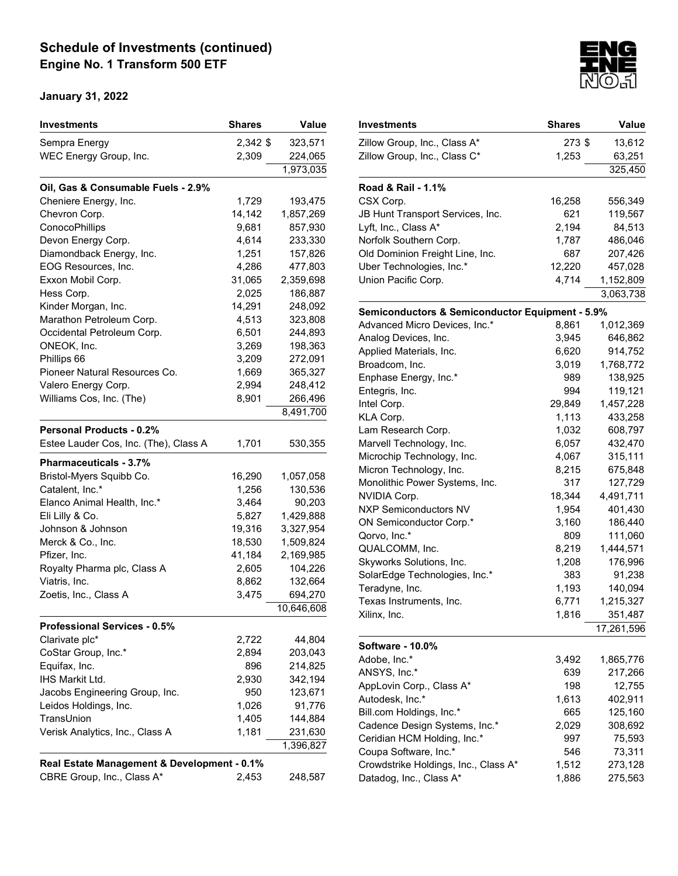| Investments                                 | <b>Shares</b> | Value      |
|---------------------------------------------|---------------|------------|
| Sempra Energy                               | 2,342 \$      | 323,571    |
| WEC Energy Group, Inc.                      | 2,309         | 224,065    |
|                                             |               | 1,973,035  |
| Oil, Gas & Consumable Fuels - 2.9%          |               |            |
| Cheniere Energy, Inc.                       | 1,729         | 193,475    |
| Chevron Corp.                               | 14,142        | 1,857,269  |
| ConocoPhillips                              | 9,681         | 857,930    |
| Devon Energy Corp.                          | 4,614         | 233,330    |
| Diamondback Energy, Inc.                    | 1,251         | 157,826    |
| EOG Resources, Inc.                         | 4,286         | 477,803    |
| Exxon Mobil Corp.                           | 31,065        | 2,359,698  |
| Hess Corp.                                  | 2,025         | 186,887    |
| Kinder Morgan, Inc.                         | 14,291        | 248,092    |
| Marathon Petroleum Corp.                    | 4,513         | 323,808    |
| Occidental Petroleum Corp.                  | 6,501         | 244,893    |
| ONEOK, Inc.                                 | 3,269         | 198,363    |
| Phillips 66                                 | 3,209         | 272,091    |
| Pioneer Natural Resources Co.               | 1,669         | 365,327    |
| Valero Energy Corp.                         | 2,994         | 248,412    |
| Williams Cos, Inc. (The)                    | 8,901         | 266,496    |
|                                             |               | 8,491,700  |
| <b>Personal Products - 0.2%</b>             |               |            |
| Estee Lauder Cos, Inc. (The), Class A       | 1,701         | 530,355    |
| Pharmaceuticals - 3.7%                      |               |            |
| Bristol-Myers Squibb Co.                    | 16,290        | 1,057,058  |
| Catalent, Inc.*                             | 1,256         | 130,536    |
| Elanco Animal Health, Inc.*                 | 3,464         | 90,203     |
| Eli Lilly & Co.                             | 5,827         | 1,429,888  |
| Johnson & Johnson                           | 19,316        | 3,327,954  |
| Merck & Co., Inc.                           | 18,530        | 1,509,824  |
| Pfizer, Inc.                                | 41,184        | 2,169,985  |
| Royalty Pharma plc, Class A                 | 2,605         | 104,226    |
| Viatris, Inc.                               | 8,862         | 132,664    |
| Zoetis, Inc., Class A                       | 3,475         | 694,270    |
|                                             |               | 10,646,608 |
| <b>Professional Services - 0.5%</b>         |               |            |
| Clarivate plc*                              | 2,722         | 44,804     |
| CoStar Group, Inc.*                         | 2,894         | 203,043    |
| Equifax, Inc.                               | 896           | 214,825    |
| <b>IHS Markit Ltd.</b>                      | 2,930         | 342,194    |
| Jacobs Engineering Group, Inc.              | 950           | 123,671    |
|                                             |               |            |
| Leidos Holdings, Inc.                       | 1,026         | 91,776     |
| TransUnion                                  | 1,405         | 144,884    |
| Verisk Analytics, Inc., Class A             | 1,181         | 231,630    |
|                                             |               | 1,396,827  |
| Real Estate Management & Development - 0.1% |               |            |
| CBRE Group, Inc., Class A*                  | 2,453         | 248,587    |



| Investments                                     | <b>Shares</b> | Value      |
|-------------------------------------------------|---------------|------------|
| Zillow Group, Inc., Class A*                    | 273\$         | 13,612     |
| Zillow Group, Inc., Class C*                    | 1,253         | 63,251     |
|                                                 |               | 325,450    |
| Road & Rail - 1.1%                              |               |            |
| CSX Corp.                                       | 16,258        | 556,349    |
| JB Hunt Transport Services, Inc.                | 621           | 119,567    |
| Lyft, Inc., Class A*                            | 2,194         | 84,513     |
| Norfolk Southern Corp.                          | 1,787         | 486,046    |
| Old Dominion Freight Line, Inc.                 | 687           | 207,426    |
| Uber Technologies, Inc.*                        | 12,220        | 457,028    |
| Union Pacific Corp.                             | 4,714         | 1,152,809  |
|                                                 |               | 3,063,738  |
| Semiconductors & Semiconductor Equipment - 5.9% |               |            |
| Advanced Micro Devices, Inc.*                   | 8,861         | 1,012,369  |
| Analog Devices, Inc.                            | 3,945         | 646,862    |
| Applied Materials, Inc.                         | 6,620         | 914,752    |
| Broadcom, Inc.                                  | 3,019         | 1,768,772  |
| Enphase Energy, Inc.*                           | 989           | 138,925    |
| Entegris, Inc.                                  | 994           | 119,121    |
| Intel Corp.                                     | 29,849        | 1,457,228  |
| KLA Corp.                                       | 1,113         | 433,258    |
| Lam Research Corp.                              | 1,032         | 608,797    |
| Marvell Technology, Inc.                        | 6,057         | 432,470    |
| Microchip Technology, Inc.                      | 4,067         | 315,111    |
| Micron Technology, Inc.                         | 8,215         | 675,848    |
| Monolithic Power Systems, Inc.                  | 317           | 127,729    |
| NVIDIA Corp.                                    | 18,344        | 4,491,711  |
| <b>NXP Semiconductors NV</b>                    | 1,954         | 401,430    |
| ON Semiconductor Corp.*                         | 3,160         | 186,440    |
| Qorvo, Inc.*                                    | 809           | 111,060    |
| QUALCOMM, Inc.                                  | 8,219         | 1,444,571  |
| Skyworks Solutions, Inc.                        | 1,208         | 176,996    |
| SolarEdge Technologies, Inc.*                   | 383           | 91,238     |
| Teradyne, Inc.                                  | 1,193         | 140,094    |
| Texas Instruments, Inc.                         | 6,771         | 1,215,327  |
| Xilinx, Inc.                                    | 1,816         | 351,487    |
|                                                 |               | 17,261,596 |
| Software - 10.0%                                |               |            |
| Adobe, Inc.*                                    | 3,492         | 1,865,776  |
| ANSYS, Inc.*                                    | 639           | 217,266    |
| AppLovin Corp., Class A*                        | 198           | 12,755     |
| Autodesk, Inc.*                                 | 1,613         | 402,911    |
| Bill.com Holdings, Inc.*                        | 665           | 125,160    |
| Cadence Design Systems, Inc.*                   | 2,029         | 308,692    |
| Ceridian HCM Holding, Inc.*                     | 997           | 75,593     |
| Coupa Software, Inc.*                           | 546           | 73,311     |
| Crowdstrike Holdings, Inc., Class A*            | 1,512         | 273,128    |
| Datadog, Inc., Class A*                         | 1,886         | 275,563    |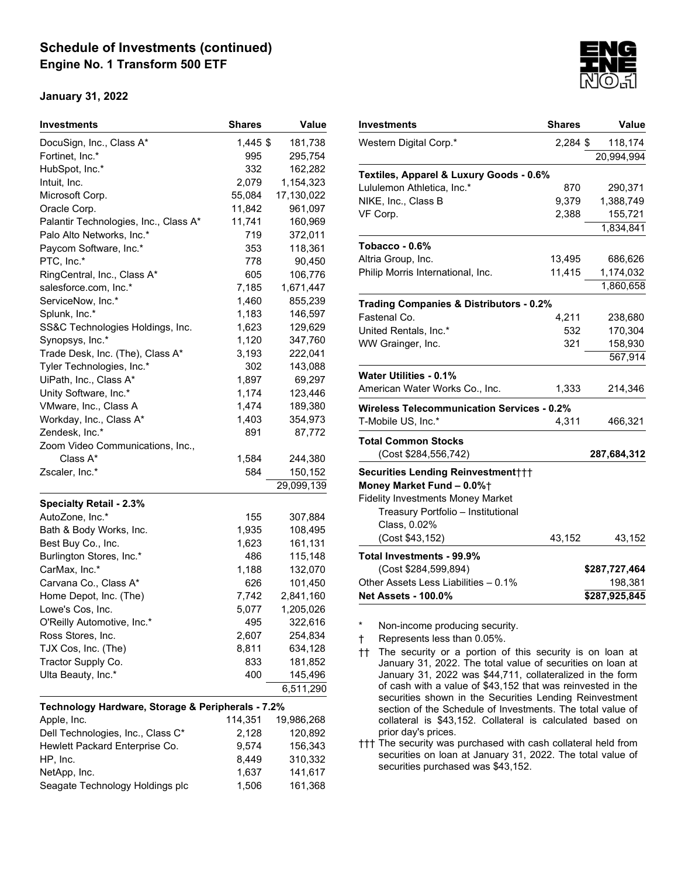#### January 31, 2022

| Investments                                       | <b>Shares</b> | <b>Value</b> |
|---------------------------------------------------|---------------|--------------|
| DocuSign, Inc., Class A*                          | 1,445 \$      | 181,738      |
| Fortinet, Inc.*                                   | 995           | 295,754      |
| HubSpot, Inc.*                                    | 332           | 162,282      |
| Intuit, Inc.                                      | 2,079         | 1,154,323    |
| Microsoft Corp.                                   | 55,084        | 17,130,022   |
| Oracle Corp.                                      | 11,842        | 961,097      |
| Palantir Technologies, Inc., Class A*             | 11,741        | 160,969      |
| Palo Alto Networks, Inc.*                         | 719           | 372,011      |
| Paycom Software, Inc.*                            | 353           | 118,361      |
| PTC, Inc.*                                        | 778           | 90,450       |
| RingCentral, Inc., Class A*                       | 605           | 106,776      |
| salesforce.com, Inc.*                             | 7,185         | 1,671,447    |
| ServiceNow, Inc.*                                 | 1,460         | 855,239      |
| Splunk, Inc.*                                     | 1,183         | 146,597      |
| SS&C Technologies Holdings, Inc.                  | 1,623         | 129,629      |
| Synopsys, Inc.*                                   | 1,120         | 347,760      |
| Trade Desk, Inc. (The), Class A*                  | 3,193         | 222,041      |
| Tyler Technologies, Inc.*                         | 302           | 143,088      |
| UiPath, Inc., Class A*                            | 1,897         | 69,297       |
| Unity Software, Inc.*                             | 1,174         | 123,446      |
| VMware, Inc., Class A                             | 1,474         | 189,380      |
| Workday, Inc., Class A*                           | 1,403         | 354,973      |
| Zendesk, Inc.*                                    | 891           | 87,772       |
| Zoom Video Communications, Inc.,                  |               |              |
| Class A*                                          | 1,584         | 244,380      |
| Zscaler, Inc.*                                    | 584           | 150,152      |
|                                                   |               | 29,099,139   |
| <b>Specialty Retail - 2.3%</b>                    |               |              |
| AutoZone, Inc.*                                   | 155           | 307,884      |
| Bath & Body Works, Inc.                           | 1,935         | 108,495      |
| Best Buy Co., Inc.                                | 1,623         | 161,131      |
| Burlington Stores, Inc.*                          | 486           | 115,148      |
| CarMax, Inc.*                                     | 1,188         | 132,070      |
| Carvana Co., Class A*                             | 626           | 101,450      |
| Home Depot, Inc. (The)                            | 7,742         | 2,841,160    |
| Lowe's Cos, Inc.                                  | 5,077         | 1,205,026    |
| O'Reilly Automotive, Inc.*                        | 495           | 322,616      |
| Ross Stores, Inc.                                 | 2,607         | 254,834      |
| TJX Cos, Inc. (The)                               | 8,811         | 634,128      |
| Tractor Supply Co.                                | 833           | 181,852      |
| Ulta Beauty, Inc.*                                | 400           | 145,496      |
|                                                   |               | 6,511,290    |
| Technology Hardware, Storage & Peripherals - 7.2% |               |              |
| Apple, Inc.                                       | 114,351       | 19,986,268   |
| Dell Technologies, Inc., Class C*                 | 2,128         | 120,892      |
| Hewlett Packard Enterprise Co.                    | 9,574         | 156,343      |
| HP, Inc.                                          | 8,449         | 310,332      |
| NetApp, Inc.                                      | 1,637         | 141,617      |
| Seagate Technology Holdings plc                   | 1,506         | 161,368      |



Non-income producing security.

† Represents less than 0.05%.

†† The security or a portion of this security is on loan at January 31, 2022. The total value of securities on loan at January 31, 2022 was \$44,711, collateralized in the form of cash with a value of \$43,152 that was reinvested in the securities shown in the Securities Lending Reinvestment section of the Schedule of Investments. The total value of collateral is \$43,152. Collateral is calculated based on prior day's prices.

††† The security was purchased with cash collateral held from securities on loan at January 31, 2022. The total value of securities purchased was \$43,152.